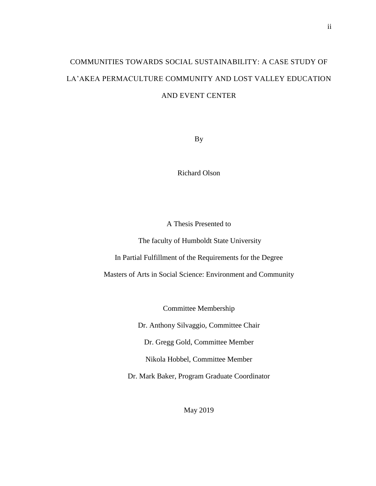# COMMUNITIES TOWARDS SOCIAL SUSTAINABILITY: A CASE STUDY OF LA'AKEA PERMACULTURE COMMUNITY AND LOST VALLEY EDUCATION AND EVENT CENTER

By

Richard Olson

A Thesis Presented to

The faculty of Humboldt State University

In Partial Fulfillment of the Requirements for the Degree

Masters of Arts in Social Science: Environment and Community

Committee Membership

Dr. Anthony Silvaggio, Committee Chair

Dr. Gregg Gold, Committee Member

Nikola Hobbel, Committee Member

Dr. Mark Baker, Program Graduate Coordinator

May 2019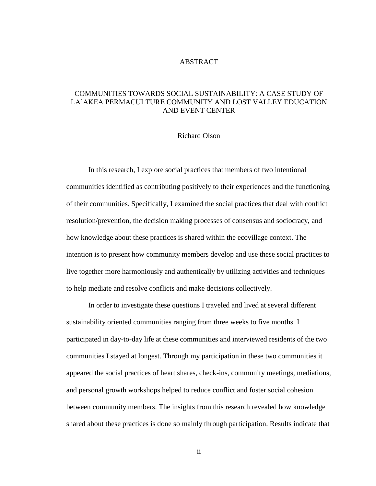#### ABSTRACT

## <span id="page-1-0"></span>COMMUNITIES TOWARDS SOCIAL SUSTAINABILITY: A CASE STUDY OF LA'AKEA PERMACULTURE COMMUNITY AND LOST VALLEY EDUCATION AND EVENT CENTER

#### Richard Olson

In this research, I explore social practices that members of two intentional communities identified as contributing positively to their experiences and the functioning of their communities. Specifically, I examined the social practices that deal with conflict resolution/prevention, the decision making processes of consensus and sociocracy, and how knowledge about these practices is shared within the ecovillage context. The intention is to present how community members develop and use these social practices to live together more harmoniously and authentically by utilizing activities and techniques to help mediate and resolve conflicts and make decisions collectively.

In order to investigate these questions I traveled and lived at several different sustainability oriented communities ranging from three weeks to five months. I participated in day-to-day life at these communities and interviewed residents of the two communities I stayed at longest. Through my participation in these two communities it appeared the social practices of heart shares, check-ins, community meetings, mediations, and personal growth workshops helped to reduce conflict and foster social cohesion between community members. The insights from this research revealed how knowledge shared about these practices is done so mainly through participation. Results indicate that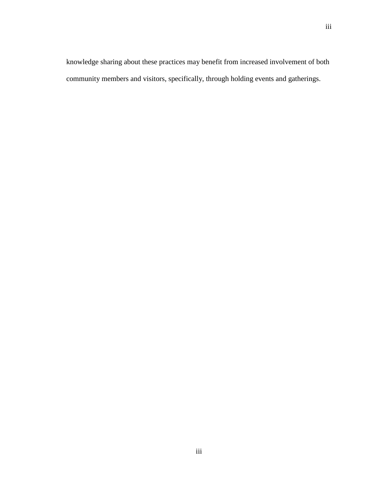knowledge sharing about these practices may benefit from increased involvement of both community members and visitors, specifically, through holding events and gatherings.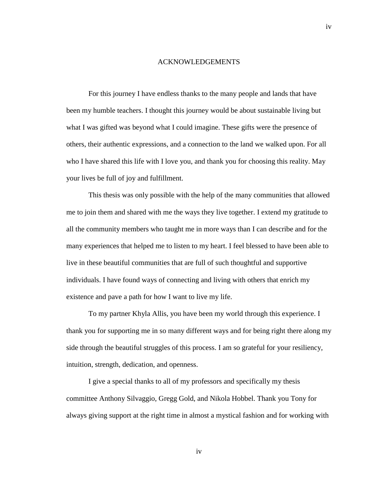#### ACKNOWLEDGEMENTS

<span id="page-3-0"></span>For this journey I have endless thanks to the many people and lands that have been my humble teachers. I thought this journey would be about sustainable living but what I was gifted was beyond what I could imagine. These gifts were the presence of others, their authentic expressions, and a connection to the land we walked upon. For all who I have shared this life with I love you, and thank you for choosing this reality. May your lives be full of joy and fulfillment.

This thesis was only possible with the help of the many communities that allowed me to join them and shared with me the ways they live together. I extend my gratitude to all the community members who taught me in more ways than I can describe and for the many experiences that helped me to listen to my heart. I feel blessed to have been able to live in these beautiful communities that are full of such thoughtful and supportive individuals. I have found ways of connecting and living with others that enrich my existence and pave a path for how I want to live my life.

To my partner Khyla Allis, you have been my world through this experience. I thank you for supporting me in so many different ways and for being right there along my side through the beautiful struggles of this process. I am so grateful for your resiliency, intuition, strength, dedication, and openness.

I give a special thanks to all of my professors and specifically my thesis committee Anthony Silvaggio, Gregg Gold, and Nikola Hobbel. Thank you Tony for always giving support at the right time in almost a mystical fashion and for working with

iv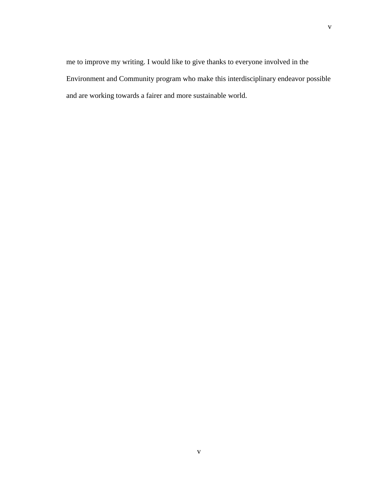me to improve my writing. I would like to give thanks to everyone involved in the Environment and Community program who make this interdisciplinary endeavor possible and are working towards a fairer and more sustainable world.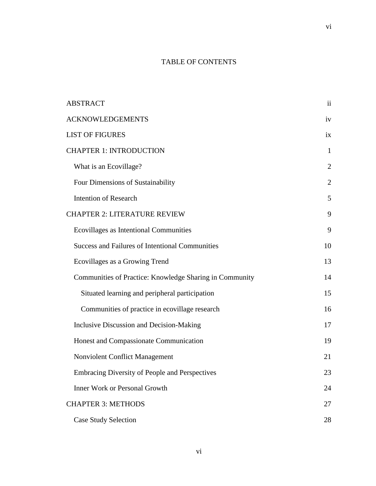# TABLE OF CONTENTS

| <b>ABSTRACT</b>                                         | $\mathbf{ii}$  |
|---------------------------------------------------------|----------------|
| <b>ACKNOWLEDGEMENTS</b>                                 | iv             |
| <b>LIST OF FIGURES</b>                                  | ix             |
| <b>CHAPTER 1: INTRODUCTION</b>                          | $\mathbf{1}$   |
| What is an Ecovillage?                                  | $\overline{2}$ |
| Four Dimensions of Sustainability                       | $\overline{2}$ |
| <b>Intention of Research</b>                            | 5              |
| <b>CHAPTER 2: LITERATURE REVIEW</b>                     | 9              |
| Ecovillages as Intentional Communities                  | 9              |
| <b>Success and Failures of Intentional Communities</b>  | 10             |
| Ecovillages as a Growing Trend                          | 13             |
| Communities of Practice: Knowledge Sharing in Community | 14             |
| Situated learning and peripheral participation          | 15             |
| Communities of practice in ecovillage research          | 16             |
| <b>Inclusive Discussion and Decision-Making</b>         | 17             |
| Honest and Compassionate Communication                  | 19             |
| <b>Nonviolent Conflict Management</b>                   | 21             |
| Embracing Diversity of People and Perspectives          | 23             |
| <b>Inner Work or Personal Growth</b>                    | 24             |
| <b>CHAPTER 3: METHODS</b>                               | 27             |
| <b>Case Study Selection</b>                             | 28             |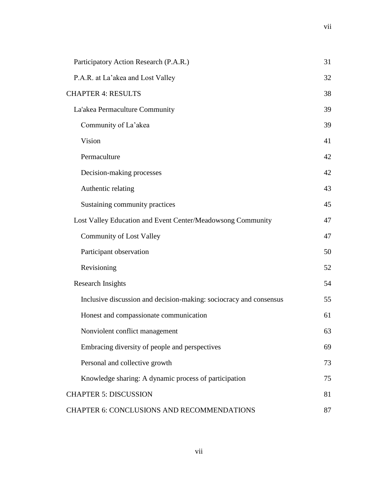| Participatory Action Research (P.A.R.)                             | 31 |
|--------------------------------------------------------------------|----|
| P.A.R. at La'akea and Lost Valley                                  | 32 |
| <b>CHAPTER 4: RESULTS</b>                                          | 38 |
| La'akea Permaculture Community                                     | 39 |
| Community of La'akea                                               | 39 |
| Vision                                                             | 41 |
| Permaculture                                                       | 42 |
| Decision-making processes                                          | 42 |
| Authentic relating                                                 | 43 |
| Sustaining community practices                                     | 45 |
| Lost Valley Education and Event Center/Meadowsong Community        | 47 |
| <b>Community of Lost Valley</b>                                    | 47 |
| Participant observation                                            | 50 |
| Revisioning                                                        | 52 |
| <b>Research Insights</b>                                           | 54 |
| Inclusive discussion and decision-making: sociocracy and consensus | 55 |
| Honest and compassionate communication                             | 61 |
| Nonviolent conflict management                                     | 63 |
| Embracing diversity of people and perspectives                     | 69 |
| Personal and collective growth                                     | 73 |
| Knowledge sharing: A dynamic process of participation              | 75 |
| <b>CHAPTER 5: DISCUSSION</b>                                       | 81 |
| CHAPTER 6: CONCLUSIONS AND RECOMMENDATIONS                         | 87 |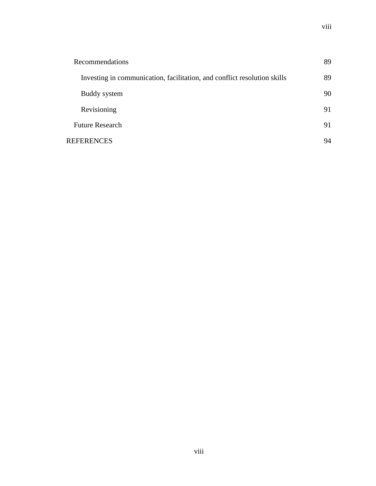| Recommendations                                                          | 89 |
|--------------------------------------------------------------------------|----|
| Investing in communication, facilitation, and conflict resolution skills | 89 |
| Buddy system                                                             | 90 |
| Revisioning                                                              | 91 |
| <b>Future Research</b>                                                   | 91 |
| <b>REFERENCES</b>                                                        | 94 |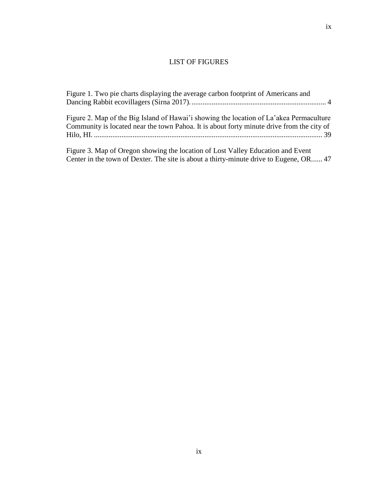# LIST OF FIGURES

<span id="page-8-0"></span>

| Figure 1. Two pie charts displaying the average carbon footprint of Americans and                                                                                                    |
|--------------------------------------------------------------------------------------------------------------------------------------------------------------------------------------|
| Figure 2. Map of the Big Island of Hawai'i showing the location of La'akea Permaculture<br>Community is located near the town Pahoa. It is about forty minute drive from the city of |
| Figure 3. Map of Oregon showing the location of Lost Valley Education and Event<br>Center in the town of Dexter. The site is about a thirty-minute drive to Eugene, OR 47            |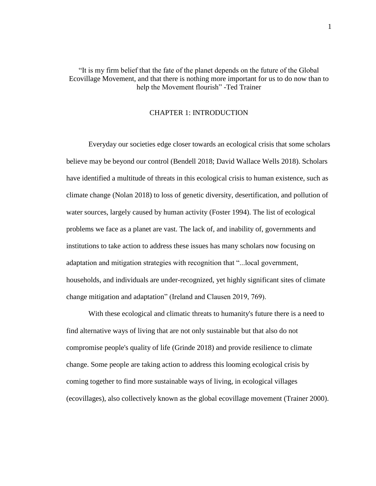## "It is my firm belief that the fate of the planet depends on the future of the Global Ecovillage Movement, and that there is nothing more important for us to do now than to help the Movement flourish" -Ted Trainer

#### CHAPTER 1: INTRODUCTION

<span id="page-9-0"></span>Everyday our societies edge closer towards an ecological crisis that some scholars believe may be beyond our control (Bendell 2018; David Wallace Wells 2018). Scholars have identified a multitude of threats in this ecological crisis to human existence, such as climate change (Nolan 2018) to loss of genetic diversity, desertification, and pollution of water sources, largely caused by human activity (Foster 1994). The list of ecological problems we face as a planet are vast. The lack of, and inability of, governments and institutions to take action to address these issues has many scholars now focusing on adaptation and mitigation strategies with recognition that "...local government, households, and individuals are under-recognized, yet highly significant sites of climate change mitigation and adaptation" (Ireland and Clausen 2019, 769).

With these ecological and climatic threats to humanity's future there is a need to find alternative ways of living that are not only sustainable but that also do not compromise people's quality of life (Grinde 2018) and provide resilience to climate change. Some people are taking action to address this looming ecological crisis by coming together to find more sustainable ways of living, in ecological villages (ecovillages), also collectively known as the global ecovillage movement (Trainer 2000).

1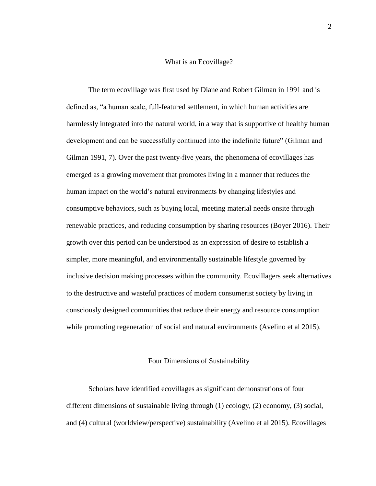#### What is an Ecovillage?

<span id="page-10-0"></span>The term ecovillage was first used by Diane and Robert Gilman in 1991 and is defined as, "a human scale, full-featured settlement, in which human activities are harmlessly integrated into the natural world, in a way that is supportive of healthy human development and can be successfully continued into the indefinite future" (Gilman and Gilman 1991, 7). Over the past twenty-five years, the phenomena of ecovillages has emerged as a growing movement that promotes living in a manner that reduces the human impact on the world's natural environments by changing lifestyles and consumptive behaviors, such as buying local, meeting material needs onsite through renewable practices, and reducing consumption by sharing resources (Boyer 2016). Their growth over this period can be understood as an expression of desire to establish a simpler, more meaningful, and environmentally sustainable lifestyle governed by inclusive decision making processes within the community. Ecovillagers seek alternatives to the destructive and wasteful practices of modern consumerist society by living in consciously designed communities that reduce their energy and resource consumption while promoting regeneration of social and natural environments (Avelino et al 2015).

#### Four Dimensions of Sustainability

<span id="page-10-1"></span>Scholars have identified ecovillages as significant demonstrations of four different dimensions of sustainable living through (1) ecology, (2) economy, (3) social, and (4) cultural (worldview/perspective) sustainability (Avelino et al 2015). Ecovillages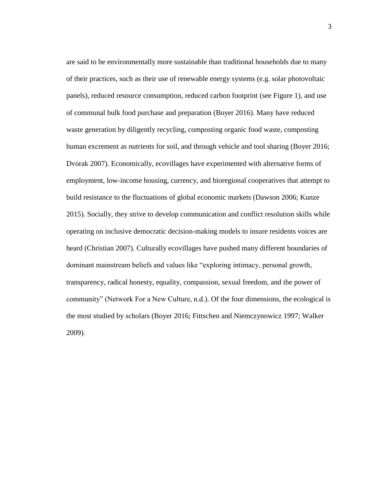are said to be environmentally more sustainable than traditional households due to many of their practices, such as their use of renewable energy systems (e.g. solar photovoltaic panels), reduced resource consumption, reduced carbon footprint (see Figure 1), and use of communal bulk food purchase and preparation (Boyer 2016). Many have reduced waste generation by diligently recycling, composting organic food waste, composting human excrement as nutrients for soil, and through vehicle and tool sharing (Boyer 2016; Dvorak 2007). Economically, ecovillages have experimented with alternative forms of employment, low-income housing, currency, and bioregional cooperatives that attempt to build resistance to the fluctuations of global economic markets (Dawson 2006; Kunze 2015). Socially, they strive to develop communication and conflict resolution skills while operating on inclusive democratic decision-making models to insure residents voices are heard (Christian 2007). Culturally ecovillages have pushed many different boundaries of dominant mainstream beliefs and values like "exploring intimacy, personal growth, transparency, radical honesty, equality, compassion, sexual freedom, and the power of community" (Network For a New Culture, n.d.). Of the four dimensions, the ecological is the most studied by scholars (Boyer 2016; Fittschen and Niemczynowicz 1997; Walker 2009).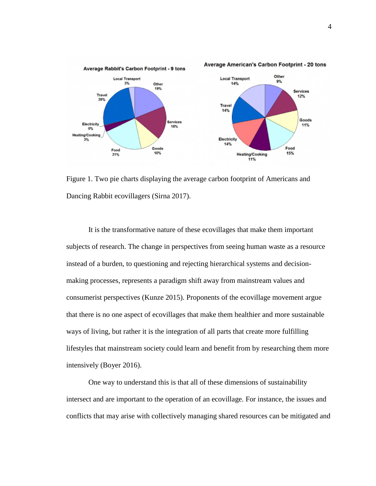

<span id="page-12-0"></span>Figure 1. Two pie charts displaying the average carbon footprint of Americans and Dancing Rabbit ecovillagers (Sirna 2017).

It is the transformative nature of these ecovillages that make them important subjects of research. The change in perspectives from seeing human waste as a resource instead of a burden, to questioning and rejecting hierarchical systems and decisionmaking processes, represents a paradigm shift away from mainstream values and consumerist perspectives (Kunze 2015). Proponents of the ecovillage movement argue that there is no one aspect of ecovillages that make them healthier and more sustainable ways of living, but rather it is the integration of all parts that create more fulfilling lifestyles that mainstream society could learn and benefit from by researching them more intensively (Boyer 2016).

One way to understand this is that all of these dimensions of sustainability intersect and are important to the operation of an ecovillage. For instance, the issues and conflicts that may arise with collectively managing shared resources can be mitigated and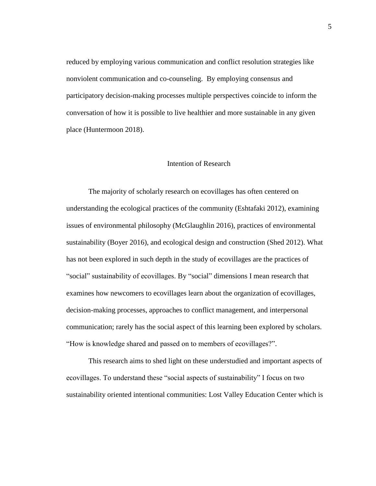reduced by employing various communication and conflict resolution strategies like nonviolent communication and co-counseling. By employing consensus and participatory decision-making processes multiple perspectives coincide to inform the conversation of how it is possible to live healthier and more sustainable in any given place (Huntermoon 2018).

#### Intention of Research

<span id="page-13-0"></span>The majority of scholarly research on ecovillages has often centered on understanding the ecological practices of the community (Eshtafaki 2012), examining issues of environmental philosophy (McGlaughlin 2016), practices of environmental sustainability (Boyer 2016), and ecological design and construction (Shed 2012). What has not been explored in such depth in the study of ecovillages are the practices of "social" sustainability of ecovillages. By "social" dimensions I mean research that examines how newcomers to ecovillages learn about the organization of ecovillages, decision-making processes, approaches to conflict management, and interpersonal communication; rarely has the social aspect of this learning been explored by scholars. "How is knowledge shared and passed on to members of ecovillages?".

This research aims to shed light on these understudied and important aspects of ecovillages. To understand these "social aspects of sustainability" I focus on two sustainability oriented intentional communities: Lost Valley Education Center which is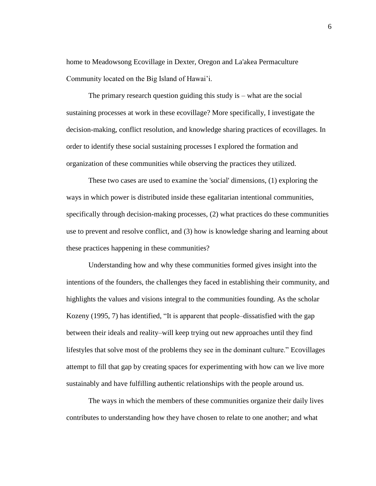home to Meadowsong Ecovillage in Dexter, Oregon and La'akea Permaculture Community located on the Big Island of Hawai'i.

The primary research question guiding this study is – what are the social sustaining processes at work in these ecovillage? More specifically, I investigate the decision-making, conflict resolution, and knowledge sharing practices of ecovillages. In order to identify these social sustaining processes I explored the formation and organization of these communities while observing the practices they utilized.

These two cases are used to examine the 'social' dimensions, (1) exploring the ways in which power is distributed inside these egalitarian intentional communities, specifically through decision-making processes, (2) what practices do these communities use to prevent and resolve conflict, and (3) how is knowledge sharing and learning about these practices happening in these communities?

Understanding how and why these communities formed gives insight into the intentions of the founders, the challenges they faced in establishing their community, and highlights the values and visions integral to the communities founding. As the scholar Kozeny (1995, 7) has identified, "It is apparent that people–dissatisfied with the gap between their ideals and reality–will keep trying out new approaches until they find lifestyles that solve most of the problems they see in the dominant culture." Ecovillages attempt to fill that gap by creating spaces for experimenting with how can we live more sustainably and have fulfilling authentic relationships with the people around us.

The ways in which the members of these communities organize their daily lives contributes to understanding how they have chosen to relate to one another; and what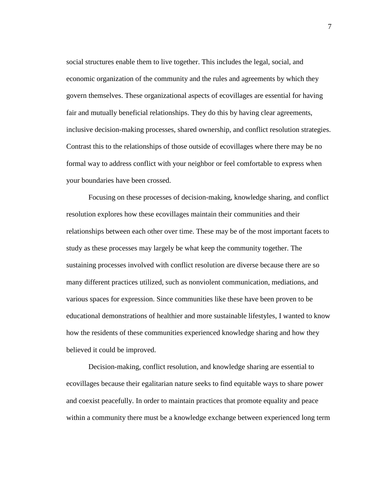social structures enable them to live together. This includes the legal, social, and economic organization of the community and the rules and agreements by which they govern themselves. These organizational aspects of ecovillages are essential for having fair and mutually beneficial relationships. They do this by having clear agreements, inclusive decision-making processes, shared ownership, and conflict resolution strategies. Contrast this to the relationships of those outside of ecovillages where there may be no formal way to address conflict with your neighbor or feel comfortable to express when your boundaries have been crossed.

Focusing on these processes of decision-making, knowledge sharing, and conflict resolution explores how these ecovillages maintain their communities and their relationships between each other over time. These may be of the most important facets to study as these processes may largely be what keep the community together. The sustaining processes involved with conflict resolution are diverse because there are so many different practices utilized, such as nonviolent communication, mediations, and various spaces for expression. Since communities like these have been proven to be educational demonstrations of healthier and more sustainable lifestyles, I wanted to know how the residents of these communities experienced knowledge sharing and how they believed it could be improved.

Decision-making, conflict resolution, and knowledge sharing are essential to ecovillages because their egalitarian nature seeks to find equitable ways to share power and coexist peacefully. In order to maintain practices that promote equality and peace within a community there must be a knowledge exchange between experienced long term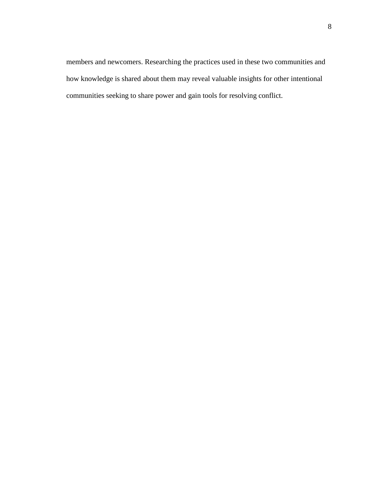members and newcomers. Researching the practices used in these two communities and how knowledge is shared about them may reveal valuable insights for other intentional communities seeking to share power and gain tools for resolving conflict.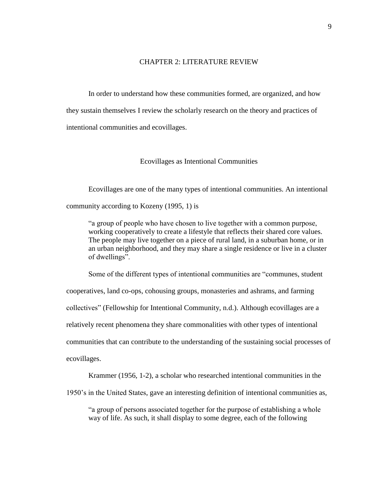#### CHAPTER 2: LITERATURE REVIEW

<span id="page-17-0"></span>In order to understand how these communities formed, are organized, and how they sustain themselves I review the scholarly research on the theory and practices of intentional communities and ecovillages.

#### Ecovillages as Intentional Communities

<span id="page-17-1"></span>Ecovillages are one of the many types of intentional communities. An intentional community according to Kozeny (1995, 1) is

"a group of people who have chosen to live together with a common purpose, working cooperatively to create a lifestyle that reflects their shared core values. The people may live together on a piece of rural land, in a suburban home, or in an urban neighborhood, and they may share a single residence or live in a cluster of dwellings".

Some of the different types of intentional communities are "communes, student cooperatives, land co-ops, cohousing groups, monasteries and ashrams, and farming collectives" (Fellowship for Intentional Community, n.d.). Although ecovillages are a relatively recent phenomena they share commonalities with other types of intentional communities that can contribute to the understanding of the sustaining social processes of ecovillages.

Krammer (1956, 1-2), a scholar who researched intentional communities in the

1950's in the United States, gave an interesting definition of intentional communities as,

"a group of persons associated together for the purpose of establishing a whole way of life. As such, it shall display to some degree, each of the following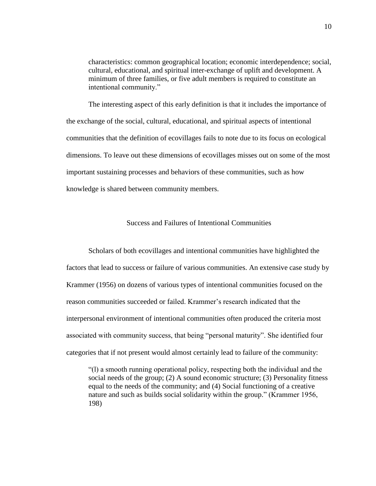characteristics: common geographical location; economic interdependence; social, cultural, educational, and spiritual inter-exchange of uplift and development. A minimum of three families, or five adult members is required to constitute an intentional community."

The interesting aspect of this early definition is that it includes the importance of the exchange of the social, cultural, educational, and spiritual aspects of intentional communities that the definition of ecovillages fails to note due to its focus on ecological dimensions. To leave out these dimensions of ecovillages misses out on some of the most important sustaining processes and behaviors of these communities, such as how knowledge is shared between community members.

## Success and Failures of Intentional Communities

<span id="page-18-0"></span>Scholars of both ecovillages and intentional communities have highlighted the factors that lead to success or failure of various communities. An extensive case study by Krammer (1956) on dozens of various types of intentional communities focused on the reason communities succeeded or failed. Krammer's research indicated that the interpersonal environment of intentional communities often produced the criteria most associated with community success, that being "personal maturity". She identified four categories that if not present would almost certainly lead to failure of the community:

"(l) a smooth running operational policy, respecting both the individual and the social needs of the group; (2) A sound economic structure; (3) Personality fitness equal to the needs of the community; and (4) Social functioning of a creative nature and such as builds social solidarity within the group." (Krammer 1956, 198)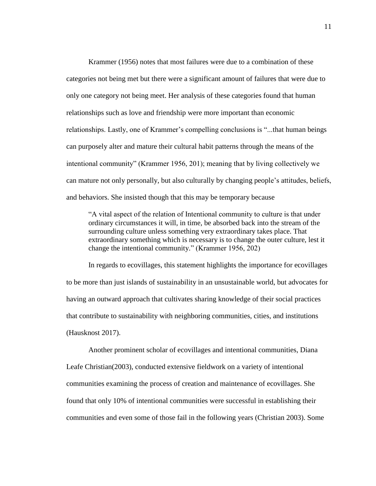Krammer (1956) notes that most failures were due to a combination of these categories not being met but there were a significant amount of failures that were due to only one category not being meet. Her analysis of these categories found that human relationships such as love and friendship were more important than economic relationships. Lastly, one of Krammer's compelling conclusions is "...that human beings can purposely alter and mature their cultural habit patterns through the means of the intentional community" (Krammer 1956, 201); meaning that by living collectively we can mature not only personally, but also culturally by changing people's attitudes, beliefs, and behaviors. She insisted though that this may be temporary because

"A vital aspect of the relation of Intentional community to culture is that under ordinary circumstances it will, in time, be absorbed back into the stream of the surrounding culture unless something very extraordinary takes place. That extraordinary something which is necessary is to change the outer culture, lest it change the intentional community." (Krammer 1956, 202)

In regards to ecovillages, this statement highlights the importance for ecovillages to be more than just islands of sustainability in an unsustainable world, but advocates for having an outward approach that cultivates sharing knowledge of their social practices that contribute to sustainability with neighboring communities, cities, and institutions (Hausknost 2017).

Another prominent scholar of ecovillages and intentional communities, Diana Leafe Christian(2003), conducted extensive fieldwork on a variety of intentional communities examining the process of creation and maintenance of ecovillages. She found that only 10% of intentional communities were successful in establishing their communities and even some of those fail in the following years (Christian 2003). Some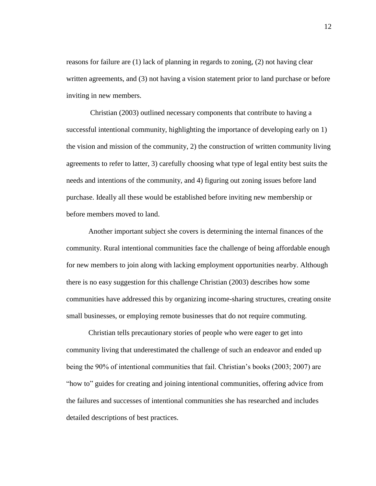reasons for failure are (1) lack of planning in regards to zoning, (2) not having clear written agreements, and (3) not having a vision statement prior to land purchase or before inviting in new members.

Christian (2003) outlined necessary components that contribute to having a successful intentional community, highlighting the importance of developing early on 1) the vision and mission of the community, 2) the construction of written community living agreements to refer to latter, 3) carefully choosing what type of legal entity best suits the needs and intentions of the community, and 4) figuring out zoning issues before land purchase. Ideally all these would be established before inviting new membership or before members moved to land.

Another important subject she covers is determining the internal finances of the community. Rural intentional communities face the challenge of being affordable enough for new members to join along with lacking employment opportunities nearby. Although there is no easy suggestion for this challenge Christian (2003) describes how some communities have addressed this by organizing income-sharing structures, creating onsite small businesses, or employing remote businesses that do not require commuting.

Christian tells precautionary stories of people who were eager to get into community living that underestimated the challenge of such an endeavor and ended up being the 90% of intentional communities that fail. Christian's books (2003; 2007) are "how to" guides for creating and joining intentional communities, offering advice from the failures and successes of intentional communities she has researched and includes detailed descriptions of best practices.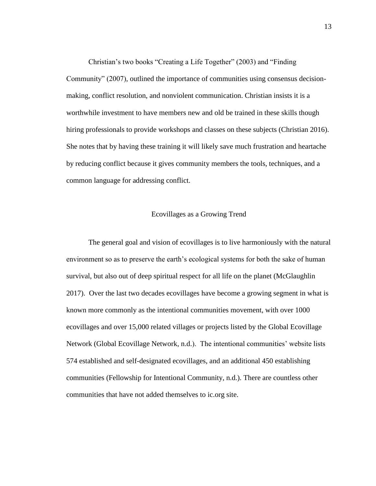Christian's two books "Creating a Life Together" (2003) and "Finding Community" (2007), outlined the importance of communities using consensus decisionmaking, conflict resolution, and nonviolent communication. Christian insists it is a worthwhile investment to have members new and old be trained in these skills though hiring professionals to provide workshops and classes on these subjects (Christian 2016). She notes that by having these training it will likely save much frustration and heartache by reducing conflict because it gives community members the tools, techniques, and a common language for addressing conflict.

#### Ecovillages as a Growing Trend

<span id="page-21-0"></span>The general goal and vision of ecovillages is to live harmoniously with the natural environment so as to preserve the earth's ecological systems for both the sake of human survival, but also out of deep spiritual respect for all life on the planet (McGlaughlin 2017). Over the last two decades ecovillages have become a growing segment in what is known more commonly as the intentional communities movement, with over 1000 ecovillages and over 15,000 related villages or projects listed by the Global Ecovillage Network (Global Ecovillage Network, n.d.). The intentional communities' website lists 574 established and self-designated ecovillages, and an additional 450 establishing communities (Fellowship for Intentional Community, n.d.). There are countless other communities that have not added themselves to ic.org site.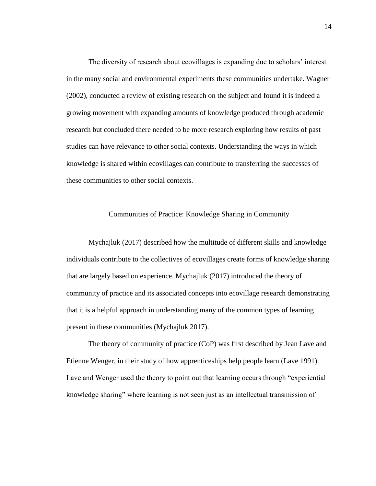The diversity of research about ecovillages is expanding due to scholars' interest in the many social and environmental experiments these communities undertake. Wagner (2002), conducted a review of existing research on the subject and found it is indeed a growing movement with expanding amounts of knowledge produced through academic research but concluded there needed to be more research exploring how results of past studies can have relevance to other social contexts. Understanding the ways in which knowledge is shared within ecovillages can contribute to transferring the successes of these communities to other social contexts.

#### Communities of Practice: Knowledge Sharing in Community

<span id="page-22-0"></span>Mychajluk (2017) described how the multitude of different skills and knowledge individuals contribute to the collectives of ecovillages create forms of knowledge sharing that are largely based on experience. Mychajluk (2017) introduced the theory of community of practice and its associated concepts into ecovillage research demonstrating that it is a helpful approach in understanding many of the common types of learning present in these communities (Mychajluk 2017).

The theory of community of practice (CoP) was first described by Jean Lave and Etienne Wenger, in their study of how apprenticeships help people learn (Lave 1991). Lave and Wenger used the theory to point out that learning occurs through "experiential knowledge sharing" where learning is not seen just as an intellectual transmission of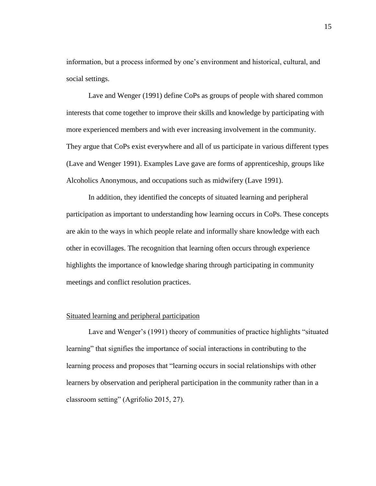information, but a process informed by one's environment and historical, cultural, and social settings.

Lave and Wenger (1991) define CoPs as groups of people with shared common interests that come together to improve their skills and knowledge by participating with more experienced members and with ever increasing involvement in the community. They argue that CoPs exist everywhere and all of us participate in various different types (Lave and Wenger 1991). Examples Lave gave are forms of apprenticeship, groups like Alcoholics Anonymous, and occupations such as midwifery (Lave 1991).

In addition, they identified the concepts of situated learning and peripheral participation as important to understanding how learning occurs in CoPs. These concepts are akin to the ways in which people relate and informally share knowledge with each other in ecovillages. The recognition that learning often occurs through experience highlights the importance of knowledge sharing through participating in community meetings and conflict resolution practices.

#### <span id="page-23-0"></span>Situated learning and peripheral participation

Lave and Wenger's (1991) theory of communities of practice highlights "situated learning" that signifies the importance of social interactions in contributing to the learning process and proposes that "learning occurs in social relationships with other learners by observation and peripheral participation in the community rather than in a classroom setting" (Agrifolio 2015, 27).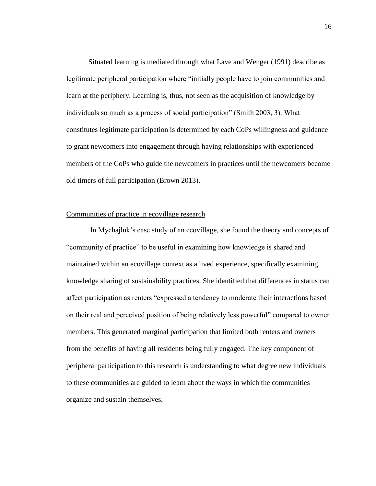Situated learning is mediated through what Lave and Wenger (1991) describe as legitimate peripheral participation where "initially people have to join communities and learn at the periphery. Learning is, thus, not seen as the acquisition of knowledge by individuals so much as a process of social participation" (Smith 2003, 3). What constitutes legitimate participation is determined by each CoPs willingness and guidance to grant newcomers into engagement through having relationships with experienced members of the CoPs who guide the newcomers in practices until the newcomers become old timers of full participation (Brown 2013).

#### <span id="page-24-0"></span>Communities of practice in ecovillage research

In Mychajluk's case study of an ecovillage, she found the theory and concepts of "community of practice" to be useful in examining how knowledge is shared and maintained within an ecovillage context as a lived experience, specifically examining knowledge sharing of sustainability practices. She identified that differences in status can affect participation as renters "expressed a tendency to moderate their interactions based on their real and perceived position of being relatively less powerful" compared to owner members. This generated marginal participation that limited both renters and owners from the benefits of having all residents being fully engaged. The key component of peripheral participation to this research is understanding to what degree new individuals to these communities are guided to learn about the ways in which the communities organize and sustain themselves.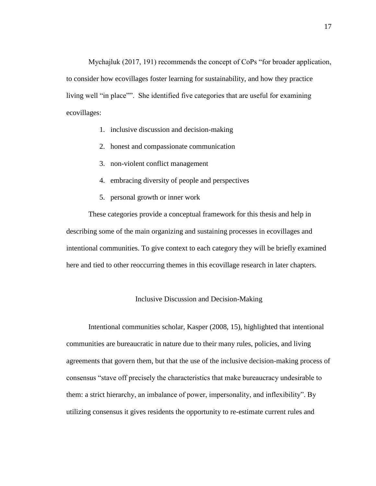Mychajluk (2017, 191) recommends the concept of CoPs "for broader application, to consider how ecovillages foster learning for sustainability, and how they practice living well "in place"". She identified five categories that are useful for examining ecovillages:

- 1. inclusive discussion and decision-making
- 2. honest and compassionate communication
- 3. non-violent conflict management
- 4. embracing diversity of people and perspectives
- 5. personal growth or inner work

These categories provide a conceptual framework for this thesis and help in describing some of the main organizing and sustaining processes in ecovillages and intentional communities. To give context to each category they will be briefly examined here and tied to other reoccurring themes in this ecovillage research in later chapters.

#### Inclusive Discussion and Decision-Making

<span id="page-25-0"></span>Intentional communities scholar, Kasper (2008, 15), highlighted that intentional communities are bureaucratic in nature due to their many rules, policies, and living agreements that govern them, but that the use of the inclusive decision-making process of consensus "stave off precisely the characteristics that make bureaucracy undesirable to them: a strict hierarchy, an imbalance of power, impersonality, and inflexibility". By utilizing consensus it gives residents the opportunity to re-estimate current rules and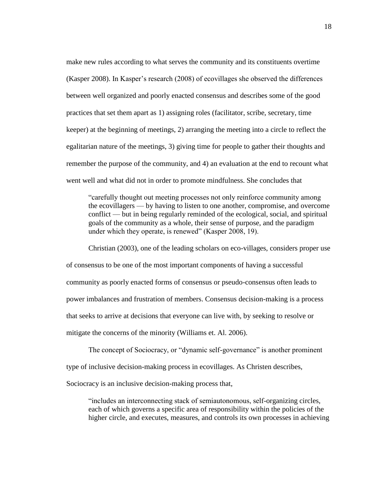make new rules according to what serves the community and its constituents overtime (Kasper 2008). In Kasper's research (2008) of ecovillages she observed the differences between well organized and poorly enacted consensus and describes some of the good practices that set them apart as 1) assigning roles (facilitator, scribe, secretary, time keeper) at the beginning of meetings, 2) arranging the meeting into a circle to reflect the egalitarian nature of the meetings, 3) giving time for people to gather their thoughts and remember the purpose of the community, and 4) an evaluation at the end to recount what went well and what did not in order to promote mindfulness. She concludes that

"carefully thought out meeting processes not only reinforce community among the ecovillagers — by having to listen to one another, compromise, and overcome conflict — but in being regularly reminded of the ecological, social, and spiritual goals of the community as a whole, their sense of purpose, and the paradigm under which they operate, is renewed" (Kasper 2008, 19).

Christian (2003), one of the leading scholars on eco-villages, considers proper use of consensus to be one of the most important components of having a successful community as poorly enacted forms of consensus or pseudo-consensus often leads to power imbalances and frustration of members. Consensus decision-making is a process that seeks to arrive at decisions that everyone can live with, by seeking to resolve or mitigate the concerns of the minority (Williams et. Al. 2006).

The concept of Sociocracy, or "dynamic self-governance" is another prominent type of inclusive decision-making process in ecovillages. As Christen describes,

Sociocracy is an inclusive decision-making process that,

"includes an interconnecting stack of semiautonomous, self-organizing circles, each of which governs a specific area of responsibility within the policies of the higher circle, and executes, measures, and controls its own processes in achieving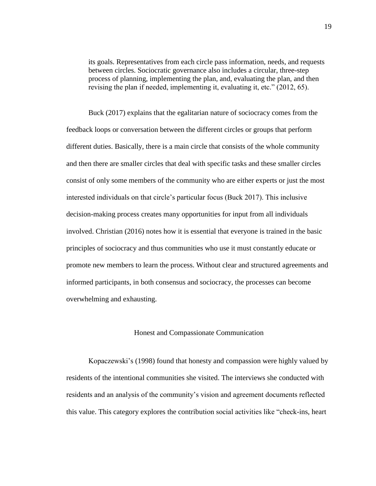its goals. Representatives from each circle pass information, needs, and requests between circles. Sociocratic governance also includes a circular, three-step process of planning, implementing the plan, and, evaluating the plan, and then revising the plan if needed, implementing it, evaluating it, etc." (2012, 65).

Buck (2017) explains that the egalitarian nature of sociocracy comes from the feedback loops or conversation between the different circles or groups that perform different duties. Basically, there is a main circle that consists of the whole community and then there are smaller circles that deal with specific tasks and these smaller circles consist of only some members of the community who are either experts or just the most interested individuals on that circle's particular focus (Buck 2017). This inclusive decision-making process creates many opportunities for input from all individuals involved. Christian (2016) notes how it is essential that everyone is trained in the basic principles of sociocracy and thus communities who use it must constantly educate or promote new members to learn the process. Without clear and structured agreements and informed participants, in both consensus and sociocracy, the processes can become overwhelming and exhausting.

#### Honest and Compassionate Communication

<span id="page-27-0"></span>Kopaczewski's (1998) found that honesty and compassion were highly valued by residents of the intentional communities she visited. The interviews she conducted with residents and an analysis of the community's vision and agreement documents reflected this value. This category explores the contribution social activities like "check-ins, heart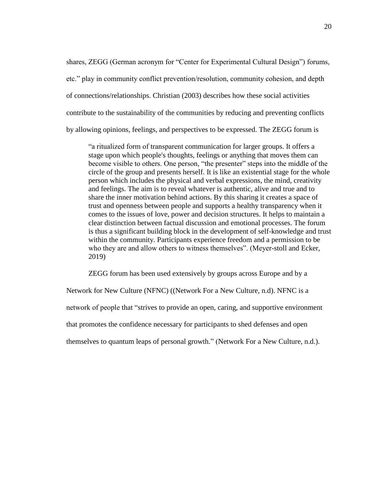shares, ZEGG (German acronym for "Center for Experimental Cultural Design") forums, etc." play in community conflict prevention/resolution, community cohesion, and depth of connections/relationships. Christian (2003) describes how these social activities contribute to the sustainability of the communities by reducing and preventing conflicts by allowing opinions, feelings, and perspectives to be expressed. The ZEGG forum is

"a ritualized form of transparent communication for larger groups. It offers a stage upon which people's thoughts, feelings or anything that moves them can become visible to others. One person, "the presenter" steps into the middle of the circle of the group and presents herself. It is like an existential stage for the whole person which includes the physical and verbal expressions, the mind, creativity and feelings. The aim is to reveal whatever is authentic, alive and true and to share the inner motivation behind actions. By this sharing it creates a space of trust and openness between people and supports a healthy transparency when it comes to the issues of love, power and decision structures. It helps to maintain a clear distinction between factual discussion and emotional processes. The forum is thus a significant building block in the development of self-knowledge and trust within the community. Participants experience freedom and a permission to be who they are and allow others to witness themselves". (Meyer-stoll and Ecker, 2019)

ZEGG forum has been used extensively by groups across Europe and by a

Network for New Culture (NFNC) ((Network For a New Culture, n.d). NFNC is a network of people that "strives to provide an open, caring, and supportive environment that promotes the confidence necessary for participants to shed defenses and open themselves to quantum leaps of personal growth." (Network For a New Culture, n.d.).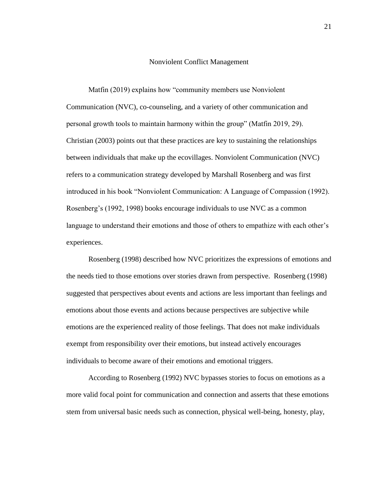#### Nonviolent Conflict Management

<span id="page-29-0"></span>Matfin (2019) explains how "community members use Nonviolent Communication (NVC), co-counseling, and a variety of other communication and personal growth tools to maintain harmony within the group" (Matfin 2019, 29). Christian (2003) points out that these practices are key to sustaining the relationships between individuals that make up the ecovillages. Nonviolent Communication (NVC) refers to a communication strategy developed by Marshall Rosenberg and was first introduced in his book "Nonviolent Communication: A Language of Compassion (1992). Rosenberg's (1992, 1998) books encourage individuals to use NVC as a common language to understand their emotions and those of others to empathize with each other's experiences.

Rosenberg (1998) described how NVC prioritizes the expressions of emotions and the needs tied to those emotions over stories drawn from perspective. Rosenberg (1998) suggested that perspectives about events and actions are less important than feelings and emotions about those events and actions because perspectives are subjective while emotions are the experienced reality of those feelings. That does not make individuals exempt from responsibility over their emotions, but instead actively encourages individuals to become aware of their emotions and emotional triggers.

According to Rosenberg (1992) NVC bypasses stories to focus on emotions as a more valid focal point for communication and connection and asserts that these emotions stem from universal basic needs such as connection, physical well-being, honesty, play,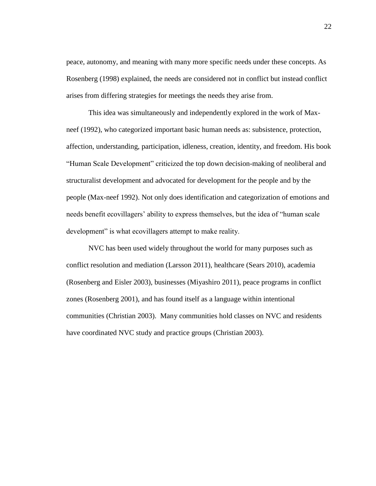peace, autonomy, and meaning with many more specific needs under these concepts. As Rosenberg (1998) explained, the needs are considered not in conflict but instead conflict arises from differing strategies for meetings the needs they arise from.

This idea was simultaneously and independently explored in the work of Maxneef (1992), who categorized important basic human needs as: subsistence, protection, affection, understanding, participation, idleness, creation, identity, and freedom. His book "Human Scale Development" criticized the top down decision-making of neoliberal and structuralist development and advocated for development for the people and by the people (Max-neef 1992). Not only does identification and categorization of emotions and needs benefit ecovillagers' ability to express themselves, but the idea of "human scale development" is what ecovillagers attempt to make reality.

NVC has been used widely throughout the world for many purposes such as conflict resolution and mediation (Larsson 2011), healthcare (Sears 2010), academia (Rosenberg and Eisler 2003), businesses (Miyashiro 2011), peace programs in conflict zones (Rosenberg 2001), and has found itself as a language within intentional communities (Christian 2003). Many communities hold classes on NVC and residents have coordinated NVC study and practice groups (Christian 2003).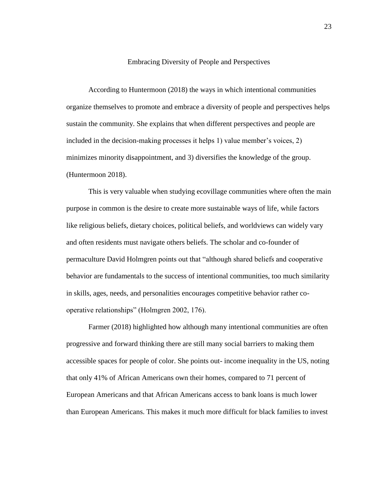#### Embracing Diversity of People and Perspectives

<span id="page-31-0"></span>According to Huntermoon (2018) the ways in which intentional communities organize themselves to promote and embrace a diversity of people and perspectives helps sustain the community. She explains that when different perspectives and people are included in the decision-making processes it helps 1) value member's voices, 2) minimizes minority disappointment, and 3) diversifies the knowledge of the group. (Huntermoon 2018).

This is very valuable when studying ecovillage communities where often the main purpose in common is the desire to create more sustainable ways of life, while factors like religious beliefs, dietary choices, political beliefs, and worldviews can widely vary and often residents must navigate others beliefs. The scholar and co-founder of permaculture David Holmgren points out that "although shared beliefs and cooperative behavior are fundamentals to the success of intentional communities, too much similarity in skills, ages, needs, and personalities encourages competitive behavior rather cooperative relationships" (Holmgren 2002, 176).

Farmer (2018) highlighted how although many intentional communities are often progressive and forward thinking there are still many social barriers to making them accessible spaces for people of color. She points out- income inequality in the US, noting that only 41% of African Americans own their homes, compared to 71 percent of European Americans and that African Americans access to bank loans is much lower than European Americans. This makes it much more difficult for black families to invest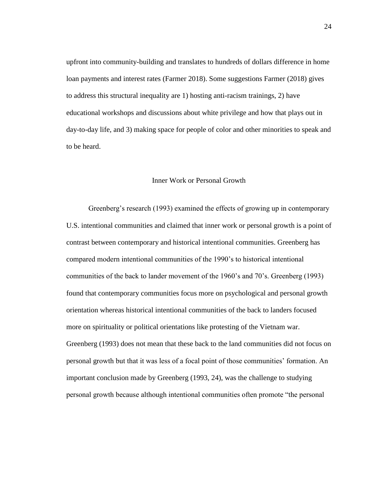upfront into community-building and translates to hundreds of dollars difference in home loan payments and interest rates (Farmer 2018). Some suggestions Farmer (2018) gives to address this structural inequality are 1) hosting anti-racism trainings, 2) have educational workshops and discussions about white privilege and how that plays out in day-to-day life, and 3) making space for people of color and other minorities to speak and to be heard.

#### Inner Work or Personal Growth

<span id="page-32-0"></span>Greenberg's research (1993) examined the effects of growing up in contemporary U.S. intentional communities and claimed that inner work or personal growth is a point of contrast between contemporary and historical intentional communities. Greenberg has compared modern intentional communities of the 1990's to historical intentional communities of the back to lander movement of the 1960's and 70's. Greenberg (1993) found that contemporary communities focus more on psychological and personal growth orientation whereas historical intentional communities of the back to landers focused more on spirituality or political orientations like protesting of the Vietnam war. Greenberg (1993) does not mean that these back to the land communities did not focus on personal growth but that it was less of a focal point of those communities' formation. An important conclusion made by Greenberg (1993, 24), was the challenge to studying personal growth because although intentional communities often promote "the personal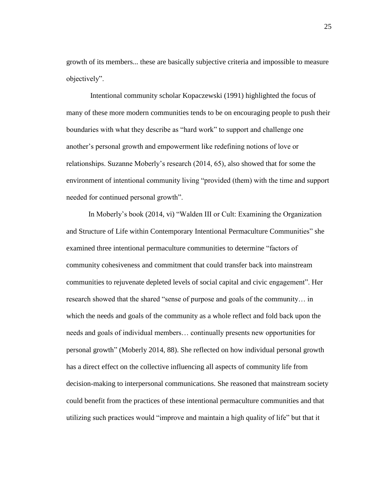growth of its members... these are basically subjective criteria and impossible to measure objectively".

Intentional community scholar Kopaczewski (1991) highlighted the focus of many of these more modern communities tends to be on encouraging people to push their boundaries with what they describe as "hard work" to support and challenge one another's personal growth and empowerment like redefining notions of love or relationships. Suzanne Moberly's research (2014, 65), also showed that for some the environment of intentional community living "provided (them) with the time and support needed for continued personal growth".

In Moberly's book (2014, vi) "Walden III or Cult: Examining the Organization and Structure of Life within Contemporary Intentional Permaculture Communities" she examined three intentional permaculture communities to determine "factors of community cohesiveness and commitment that could transfer back into mainstream communities to rejuvenate depleted levels of social capital and civic engagement". Her research showed that the shared "sense of purpose and goals of the community… in which the needs and goals of the community as a whole reflect and fold back upon the needs and goals of individual members… continually presents new opportunities for personal growth" (Moberly 2014, 88). She reflected on how individual personal growth has a direct effect on the collective influencing all aspects of community life from decision-making to interpersonal communications. She reasoned that mainstream society could benefit from the practices of these intentional permaculture communities and that utilizing such practices would "improve and maintain a high quality of life" but that it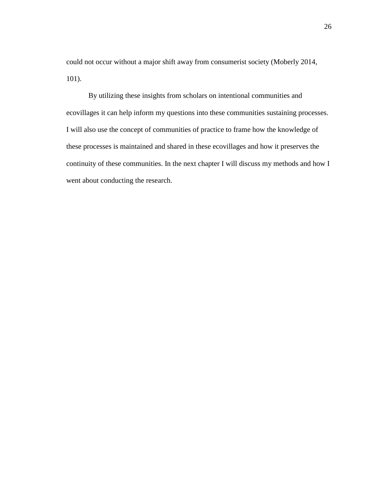could not occur without a major shift away from consumerist society (Moberly 2014, 101).

By utilizing these insights from scholars on intentional communities and ecovillages it can help inform my questions into these communities sustaining processes. I will also use the concept of communities of practice to frame how the knowledge of these processes is maintained and shared in these ecovillages and how it preserves the continuity of these communities. In the next chapter I will discuss my methods and how I went about conducting the research.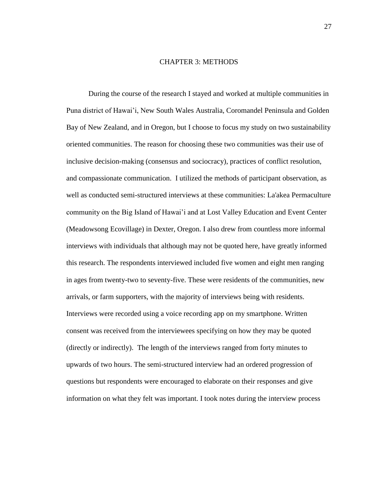#### CHAPTER 3: METHODS

<span id="page-35-0"></span>During the course of the research I stayed and worked at multiple communities in Puna district of Hawai'i, New South Wales Australia, Coromandel Peninsula and Golden Bay of New Zealand, and in Oregon, but I choose to focus my study on two sustainability oriented communities. The reason for choosing these two communities was their use of inclusive decision-making (consensus and sociocracy), practices of conflict resolution, and compassionate communication. I utilized the methods of participant observation, as well as conducted semi-structured interviews at these communities: La'akea Permaculture community on the Big Island of Hawai'i and at Lost Valley Education and Event Center (Meadowsong Ecovillage) in Dexter, Oregon. I also drew from countless more informal interviews with individuals that although may not be quoted here, have greatly informed this research. The respondents interviewed included five women and eight men ranging in ages from twenty-two to seventy-five. These were residents of the communities, new arrivals, or farm supporters, with the majority of interviews being with residents. Interviews were recorded using a voice recording app on my smartphone. Written consent was received from the interviewees specifying on how they may be quoted (directly or indirectly). The length of the interviews ranged from forty minutes to upwards of two hours. The semi-structured interview had an ordered progression of questions but respondents were encouraged to elaborate on their responses and give information on what they felt was important. I took notes during the interview process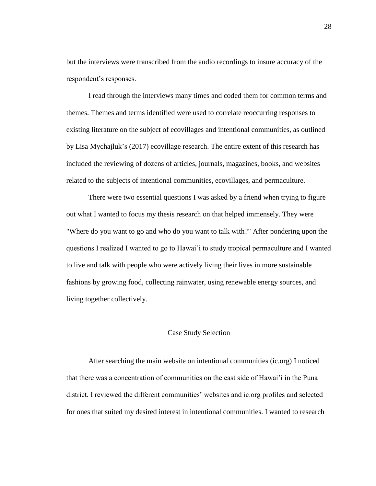but the interviews were transcribed from the audio recordings to insure accuracy of the respondent's responses.

I read through the interviews many times and coded them for common terms and themes. Themes and terms identified were used to correlate reoccurring responses to existing literature on the subject of ecovillages and intentional communities, as outlined by Lisa Mychajluk's (2017) ecovillage research. The entire extent of this research has included the reviewing of dozens of articles, journals, magazines, books, and websites related to the subjects of intentional communities, ecovillages, and permaculture.

There were two essential questions I was asked by a friend when trying to figure out what I wanted to focus my thesis research on that helped immensely. They were "Where do you want to go and who do you want to talk with?" After pondering upon the questions I realized I wanted to go to Hawai'i to study tropical permaculture and I wanted to live and talk with people who were actively living their lives in more sustainable fashions by growing food, collecting rainwater, using renewable energy sources, and living together collectively.

#### Case Study Selection

After searching the main website on intentional communities (ic.org) I noticed that there was a concentration of communities on the east side of Hawai'i in the Puna district. I reviewed the different communities' websites and ic.org profiles and selected for ones that suited my desired interest in intentional communities. I wanted to research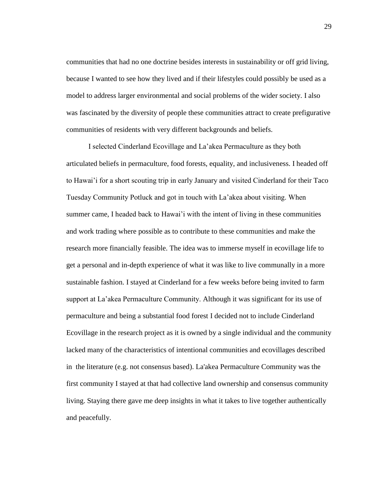communities that had no one doctrine besides interests in sustainability or off grid living, because I wanted to see how they lived and if their lifestyles could possibly be used as a model to address larger environmental and social problems of the wider society. I also was fascinated by the diversity of people these communities attract to create prefigurative communities of residents with very different backgrounds and beliefs.

I selected Cinderland Ecovillage and La'akea Permaculture as they both articulated beliefs in permaculture, food forests, equality, and inclusiveness. I headed off to Hawai'i for a short scouting trip in early January and visited Cinderland for their Taco Tuesday Community Potluck and got in touch with La'akea about visiting. When summer came, I headed back to Hawai'i with the intent of living in these communities and work trading where possible as to contribute to these communities and make the research more financially feasible. The idea was to immerse myself in ecovillage life to get a personal and in-depth experience of what it was like to live communally in a more sustainable fashion. I stayed at Cinderland for a few weeks before being invited to farm support at La'akea Permaculture Community. Although it was significant for its use of permaculture and being a substantial food forest I decided not to include Cinderland Ecovillage in the research project as it is owned by a single individual and the community lacked many of the characteristics of intentional communities and ecovillages described in the literature (e.g. not consensus based). La'akea Permaculture Community was the first community I stayed at that had collective land ownership and consensus community living. Staying there gave me deep insights in what it takes to live together authentically and peacefully.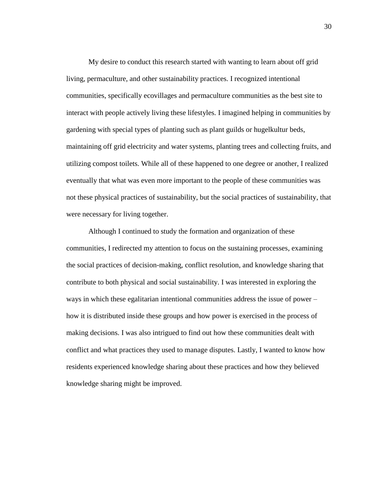My desire to conduct this research started with wanting to learn about off grid living, permaculture, and other sustainability practices. I recognized intentional communities, specifically ecovillages and permaculture communities as the best site to interact with people actively living these lifestyles. I imagined helping in communities by gardening with special types of planting such as plant guilds or hugelkultur beds, maintaining off grid electricity and water systems, planting trees and collecting fruits, and utilizing compost toilets. While all of these happened to one degree or another, I realized eventually that what was even more important to the people of these communities was not these physical practices of sustainability, but the social practices of sustainability, that were necessary for living together.

Although I continued to study the formation and organization of these communities, I redirected my attention to focus on the sustaining processes, examining the social practices of decision-making, conflict resolution, and knowledge sharing that contribute to both physical and social sustainability. I was interested in exploring the ways in which these egalitarian intentional communities address the issue of power – how it is distributed inside these groups and how power is exercised in the process of making decisions. I was also intrigued to find out how these communities dealt with conflict and what practices they used to manage disputes. Lastly, I wanted to know how residents experienced knowledge sharing about these practices and how they believed knowledge sharing might be improved.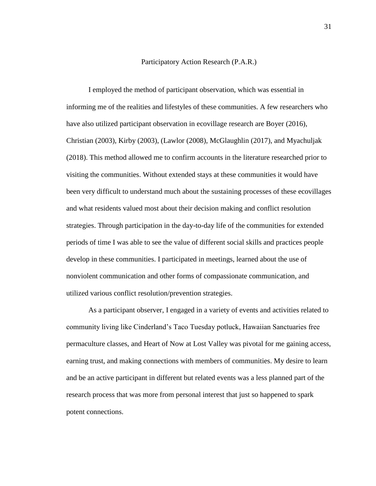#### Participatory Action Research (P.A.R.)

I employed the method of participant observation, which was essential in informing me of the realities and lifestyles of these communities. A few researchers who have also utilized participant observation in ecovillage research are Boyer (2016), Christian (2003), Kirby (2003), (Lawlor (2008), McGlaughlin (2017), and Myachuljak (2018). This method allowed me to confirm accounts in the literature researched prior to visiting the communities. Without extended stays at these communities it would have been very difficult to understand much about the sustaining processes of these ecovillages and what residents valued most about their decision making and conflict resolution strategies. Through participation in the day-to-day life of the communities for extended periods of time I was able to see the value of different social skills and practices people develop in these communities. I participated in meetings, learned about the use of nonviolent communication and other forms of compassionate communication, and utilized various conflict resolution/prevention strategies.

As a participant observer, I engaged in a variety of events and activities related to community living like Cinderland's Taco Tuesday potluck, Hawaiian Sanctuaries free permaculture classes, and Heart of Now at Lost Valley was pivotal for me gaining access, earning trust, and making connections with members of communities. My desire to learn and be an active participant in different but related events was a less planned part of the research process that was more from personal interest that just so happened to spark potent connections.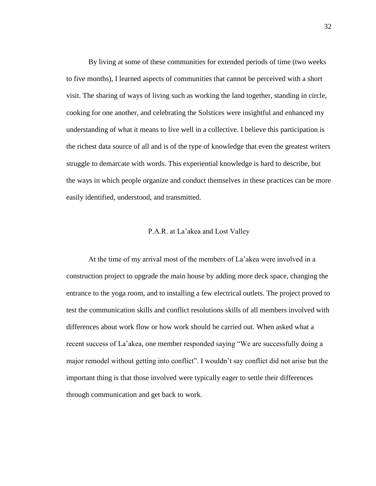By living at some of these communities for extended periods of time (two weeks to five months), I learned aspects of communities that cannot be perceived with a short visit. The sharing of ways of living such as working the land together, standing in circle, cooking for one another, and celebrating the Solstices were insightful and enhanced my understanding of what it means to live well in a collective. I believe this participation is the richest data source of all and is of the type of knowledge that even the greatest writers struggle to demarcate with words. This experiential knowledge is hard to describe, but the ways in which people organize and conduct themselves in these practices can be more easily identified, understood, and transmitted.

#### P.A.R. at La'akea and Lost Valley

At the time of my arrival most of the members of La'akea were involved in a construction project to upgrade the main house by adding more deck space, changing the entrance to the yoga room, and to installing a few electrical outlets. The project proved to test the communication skills and conflict resolutions skills of all members involved with differences about work flow or how work should be carried out. When asked what a recent success of La'akea, one member responded saying "We are successfully doing a major remodel without getting into conflict". I wouldn't say conflict did not arise but the important thing is that those involved were typically eager to settle their differences through communication and get back to work.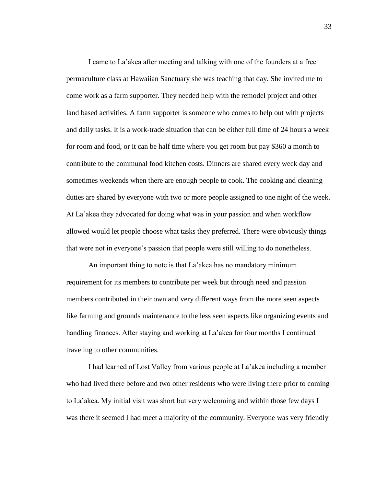I came to La'akea after meeting and talking with one of the founders at a free permaculture class at Hawaiian Sanctuary she was teaching that day. She invited me to come work as a farm supporter. They needed help with the remodel project and other land based activities. A farm supporter is someone who comes to help out with projects and daily tasks. It is a work-trade situation that can be either full time of 24 hours a week for room and food, or it can be half time where you get room but pay \$360 a month to contribute to the communal food kitchen costs. Dinners are shared every week day and sometimes weekends when there are enough people to cook. The cooking and cleaning duties are shared by everyone with two or more people assigned to one night of the week. At La'akea they advocated for doing what was in your passion and when workflow allowed would let people choose what tasks they preferred. There were obviously things that were not in everyone's passion that people were still willing to do nonetheless.

An important thing to note is that La'akea has no mandatory minimum requirement for its members to contribute per week but through need and passion members contributed in their own and very different ways from the more seen aspects like farming and grounds maintenance to the less seen aspects like organizing events and handling finances. After staying and working at La'akea for four months I continued traveling to other communities.

I had learned of Lost Valley from various people at La'akea including a member who had lived there before and two other residents who were living there prior to coming to La'akea. My initial visit was short but very welcoming and within those few days I was there it seemed I had meet a majority of the community. Everyone was very friendly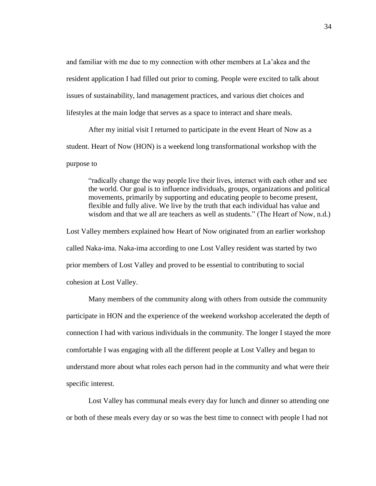and familiar with me due to my connection with other members at La'akea and the resident application I had filled out prior to coming. People were excited to talk about issues of sustainability, land management practices, and various diet choices and lifestyles at the main lodge that serves as a space to interact and share meals.

After my initial visit I returned to participate in the event Heart of Now as a student. Heart of Now (HON) is a weekend long transformational workshop with the purpose to

"radically change the way people live their lives, interact with each other and see the world. Our goal is to influence individuals, groups, organizations and political movements, primarily by supporting and educating people to become present, flexible and fully alive. We live by the truth that each individual has value and wisdom and that we all are teachers as well as students." (The Heart of Now, n.d.)

Lost Valley members explained how Heart of Now originated from an earlier workshop called Naka-ima. Naka-ima according to one Lost Valley resident was started by two prior members of Lost Valley and proved to be essential to contributing to social cohesion at Lost Valley.

Many members of the community along with others from outside the community participate in HON and the experience of the weekend workshop accelerated the depth of connection I had with various individuals in the community. The longer I stayed the more comfortable I was engaging with all the different people at Lost Valley and began to understand more about what roles each person had in the community and what were their specific interest.

Lost Valley has communal meals every day for lunch and dinner so attending one or both of these meals every day or so was the best time to connect with people I had not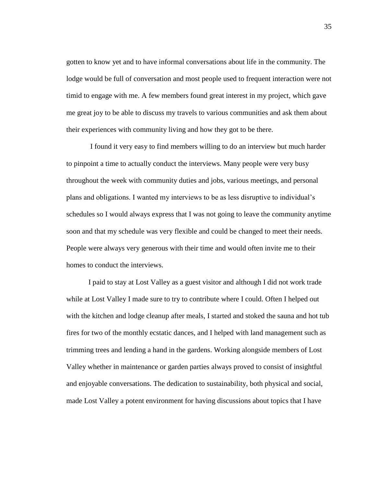gotten to know yet and to have informal conversations about life in the community. The lodge would be full of conversation and most people used to frequent interaction were not timid to engage with me. A few members found great interest in my project, which gave me great joy to be able to discuss my travels to various communities and ask them about their experiences with community living and how they got to be there.

I found it very easy to find members willing to do an interview but much harder to pinpoint a time to actually conduct the interviews. Many people were very busy throughout the week with community duties and jobs, various meetings, and personal plans and obligations. I wanted my interviews to be as less disruptive to individual's schedules so I would always express that I was not going to leave the community anytime soon and that my schedule was very flexible and could be changed to meet their needs. People were always very generous with their time and would often invite me to their homes to conduct the interviews.

I paid to stay at Lost Valley as a guest visitor and although I did not work trade while at Lost Valley I made sure to try to contribute where I could. Often I helped out with the kitchen and lodge cleanup after meals, I started and stoked the sauna and hot tub fires for two of the monthly ecstatic dances, and I helped with land management such as trimming trees and lending a hand in the gardens. Working alongside members of Lost Valley whether in maintenance or garden parties always proved to consist of insightful and enjoyable conversations. The dedication to sustainability, both physical and social, made Lost Valley a potent environment for having discussions about topics that I have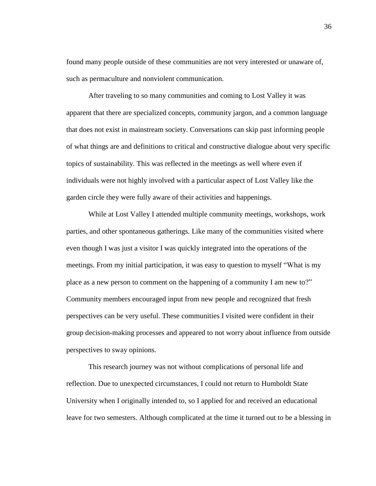found many people outside of these communities are not very interested or unaware of, such as permaculture and nonviolent communication.

After traveling to so many communities and coming to Lost Valley it was apparent that there are specialized concepts, community jargon, and a common language that does not exist in mainstream society. Conversations can skip past informing people of what things are and definitions to critical and constructive dialogue about very specific topics of sustainability. This was reflected in the meetings as well where even if individuals were not highly involved with a particular aspect of Lost Valley like the garden circle they were fully aware of their activities and happenings.

While at Lost Valley I attended multiple community meetings, workshops, work parties, and other spontaneous gatherings. Like many of the communities visited where even though I was just a visitor I was quickly integrated into the operations of the meetings. From my initial participation, it was easy to question to myself "What is my place as a new person to comment on the happening of a community I am new to?" Community members encouraged input from new people and recognized that fresh perspectives can be very useful. These communities I visited were confident in their group decision-making processes and appeared to not worry about influence from outside perspectives to sway opinions.

This research journey was not without complications of personal life and reflection. Due to unexpected circumstances, I could not return to Humboldt State University when I originally intended to, so I applied for and received an educational leave for two semesters. Although complicated at the time it turned out to be a blessing in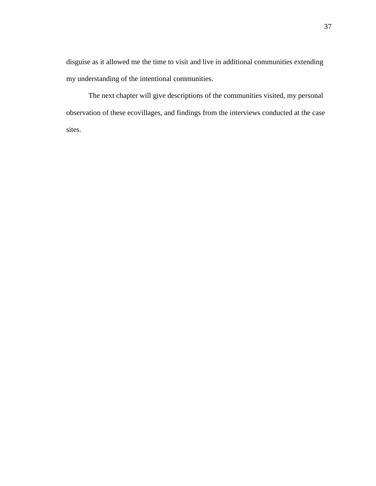disguise as it allowed me the time to visit and live in additional communities extending my understanding of the intentional communities.

The next chapter will give descriptions of the communities visited, my personal observation of these ecovillages, and findings from the interviews conducted at the case sites.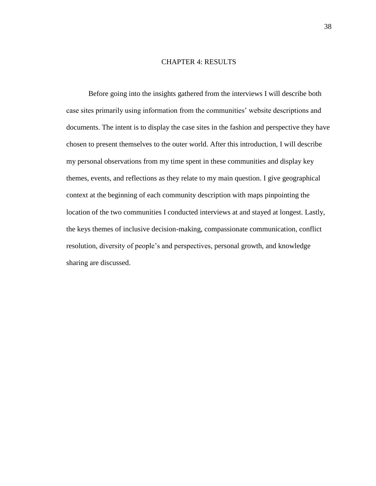#### CHAPTER 4: RESULTS

Before going into the insights gathered from the interviews I will describe both case sites primarily using information from the communities' website descriptions and documents. The intent is to display the case sites in the fashion and perspective they have chosen to present themselves to the outer world. After this introduction, I will describe my personal observations from my time spent in these communities and display key themes, events, and reflections as they relate to my main question. I give geographical context at the beginning of each community description with maps pinpointing the location of the two communities I conducted interviews at and stayed at longest. Lastly, the keys themes of inclusive decision-making, compassionate communication, conflict resolution, diversity of people's and perspectives, personal growth, and knowledge sharing are discussed.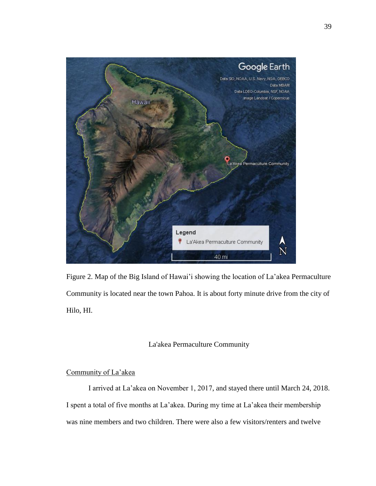

Figure 2. Map of the Big Island of Hawai'i showing the location of La'akea Permaculture Community is located near the town Pahoa. It is about forty minute drive from the city of Hilo, HI.

# La'akea Permaculture Community

# Community of La'akea

I arrived at La'akea on November 1, 2017, and stayed there until March 24, 2018. I spent a total of five months at La'akea. During my time at La'akea their membership was nine members and two children. There were also a few visitors/renters and twelve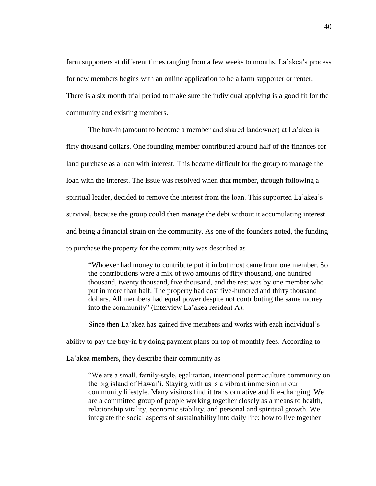farm supporters at different times ranging from a few weeks to months. La'akea's process for new members begins with an online application to be a farm supporter or renter. There is a six month trial period to make sure the individual applying is a good fit for the community and existing members.

The buy-in (amount to become a member and shared landowner) at La'akea is fifty thousand dollars. One founding member contributed around half of the finances for land purchase as a loan with interest. This became difficult for the group to manage the loan with the interest. The issue was resolved when that member, through following a spiritual leader, decided to remove the interest from the loan. This supported La'akea's survival, because the group could then manage the debt without it accumulating interest and being a financial strain on the community. As one of the founders noted, the funding to purchase the property for the community was described as

"Whoever had money to contribute put it in but most came from one member. So the contributions were a mix of two amounts of fifty thousand, one hundred thousand, twenty thousand, five thousand, and the rest was by one member who put in more than half. The property had cost five-hundred and thirty thousand dollars. All members had equal power despite not contributing the same money into the community" (Interview La'akea resident A).

Since then La'akea has gained five members and works with each individual's ability to pay the buy-in by doing payment plans on top of monthly fees. According to

La'akea members, they describe their community as

"We are a small, family-style, egalitarian, intentional permaculture community on the big island of Hawai'i. Staying with us is a vibrant immersion in our community lifestyle. Many visitors find it transformative and life-changing. We are a committed group of people working together closely as a means to health, relationship vitality, economic stability, and personal and spiritual growth. We integrate the social aspects of sustainability into daily life: how to live together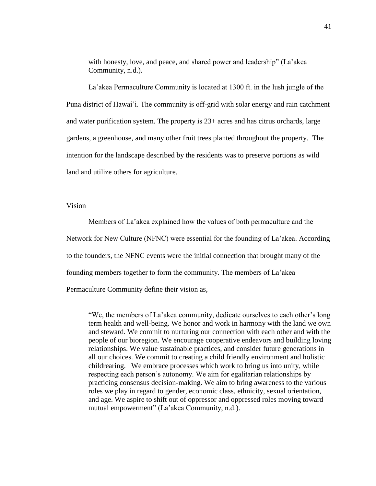with honesty, love, and peace, and shared power and leadership" (La'akea Community, n.d.).

La'akea Permaculture Community is located at 1300 ft. in the lush jungle of the Puna district of Hawai'i. The community is off-grid with solar energy and rain catchment and water purification system. The property is 23+ acres and has citrus orchards, large gardens, a greenhouse, and many other fruit trees planted throughout the property. The intention for the landscape described by the residents was to preserve portions as wild land and utilize others for agriculture.

### Vision

Members of La'akea explained how the values of both permaculture and the Network for New Culture (NFNC) were essential for the founding of La'akea. According to the founders, the NFNC events were the initial connection that brought many of the founding members together to form the community. The members of La'akea Permaculture Community define their vision as,

"We, the members of La'akea community, dedicate ourselves to each other's long term health and well-being. We honor and work in harmony with the land we own and steward. We commit to nurturing our connection with each other and with the people of our bioregion. We encourage cooperative endeavors and building loving relationships. We value sustainable practices, and consider future generations in all our choices. We commit to creating a child friendly environment and holistic childrearing. We embrace processes which work to bring us into unity, while respecting each person's autonomy. We aim for egalitarian relationships by practicing consensus decision-making. We aim to bring awareness to the various roles we play in regard to gender, economic class, ethnicity, sexual orientation, and age. We aspire to shift out of oppressor and oppressed roles moving toward mutual empowerment" (La'akea Community, n.d.).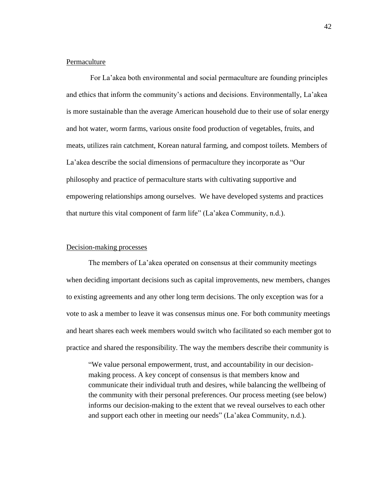## Permaculture

For La'akea both environmental and social permaculture are founding principles and ethics that inform the community's actions and decisions. Environmentally, La'akea is more sustainable than the average American household due to their use of solar energy and hot water, worm farms, various onsite food production of vegetables, fruits, and meats, utilizes rain catchment, Korean natural farming, and compost toilets. Members of La'akea describe the social dimensions of permaculture they incorporate as "Our philosophy and practice of permaculture starts with cultivating supportive and empowering relationships among ourselves. We have developed systems and practices that nurture this vital component of farm life" (La'akea Community, n.d.).

## Decision-making processes

The members of La'akea operated on consensus at their community meetings when deciding important decisions such as capital improvements, new members, changes to existing agreements and any other long term decisions. The only exception was for a vote to ask a member to leave it was consensus minus one. For both community meetings and heart shares each week members would switch who facilitated so each member got to practice and shared the responsibility. The way the members describe their community is

"We value personal empowerment, trust, and accountability in our decisionmaking process. A key concept of consensus is that members know and communicate their individual truth and desires, while balancing the wellbeing of the community with their personal preferences. Our process meeting (see below) informs our decision-making to the extent that we reveal ourselves to each other and support each other in meeting our needs" (La'akea Community, n.d.).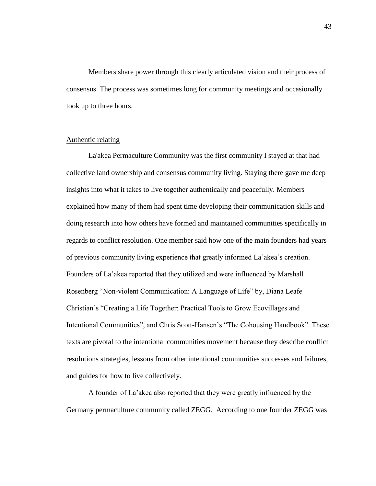Members share power through this clearly articulated vision and their process of consensus. The process was sometimes long for community meetings and occasionally took up to three hours.

# Authentic relating

La'akea Permaculture Community was the first community I stayed at that had collective land ownership and consensus community living. Staying there gave me deep insights into what it takes to live together authentically and peacefully. Members explained how many of them had spent time developing their communication skills and doing research into how others have formed and maintained communities specifically in regards to conflict resolution. One member said how one of the main founders had years of previous community living experience that greatly informed La'akea's creation. Founders of La'akea reported that they utilized and were influenced by Marshall Rosenberg "Non-violent Communication: A Language of Life" by, Diana Leafe Christian's "Creating a Life Together: Practical Tools to Grow Ecovillages and Intentional Communities", and Chris Scott-Hansen's "The Cohousing Handbook". These texts are pivotal to the intentional communities movement because they describe conflict resolutions strategies, lessons from other intentional communities successes and failures, and guides for how to live collectively.

A founder of La'akea also reported that they were greatly influenced by the Germany permaculture community called ZEGG. According to one founder ZEGG was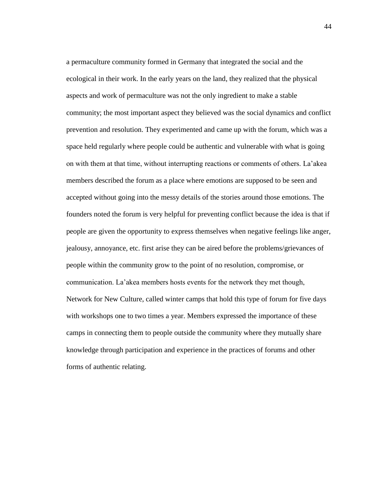a permaculture community formed in Germany that integrated the social and the ecological in their work. In the early years on the land, they realized that the physical aspects and work of permaculture was not the only ingredient to make a stable community; the most important aspect they believed was the social dynamics and conflict prevention and resolution. They experimented and came up with the forum, which was a space held regularly where people could be authentic and vulnerable with what is going on with them at that time, without interrupting reactions or comments of others. La'akea members described the forum as a place where emotions are supposed to be seen and accepted without going into the messy details of the stories around those emotions. The founders noted the forum is very helpful for preventing conflict because the idea is that if people are given the opportunity to express themselves when negative feelings like anger, jealousy, annoyance, etc. first arise they can be aired before the problems/grievances of people within the community grow to the point of no resolution, compromise, or communication. La'akea members hosts events for the network they met though, Network for New Culture, called winter camps that hold this type of forum for five days with workshops one to two times a year. Members expressed the importance of these camps in connecting them to people outside the community where they mutually share knowledge through participation and experience in the practices of forums and other forms of authentic relating.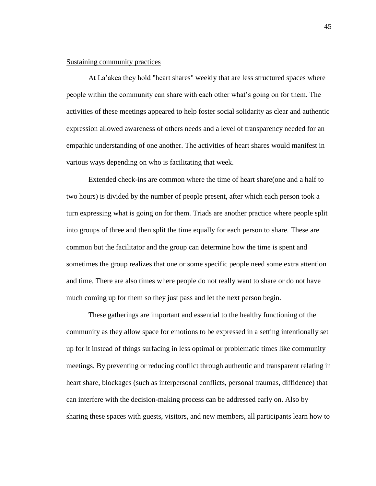## Sustaining community practices

At La'akea they hold "heart shares" weekly that are less structured spaces where people within the community can share with each other what's going on for them. The activities of these meetings appeared to help foster social solidarity as clear and authentic expression allowed awareness of others needs and a level of transparency needed for an empathic understanding of one another. The activities of heart shares would manifest in various ways depending on who is facilitating that week.

Extended check-ins are common where the time of heart share(one and a half to two hours) is divided by the number of people present, after which each person took a turn expressing what is going on for them. Triads are another practice where people split into groups of three and then split the time equally for each person to share. These are common but the facilitator and the group can determine how the time is spent and sometimes the group realizes that one or some specific people need some extra attention and time. There are also times where people do not really want to share or do not have much coming up for them so they just pass and let the next person begin.

These gatherings are important and essential to the healthy functioning of the community as they allow space for emotions to be expressed in a setting intentionally set up for it instead of things surfacing in less optimal or problematic times like community meetings. By preventing or reducing conflict through authentic and transparent relating in heart share, blockages (such as interpersonal conflicts, personal traumas, diffidence) that can interfere with the decision-making process can be addressed early on. Also by sharing these spaces with guests, visitors, and new members, all participants learn how to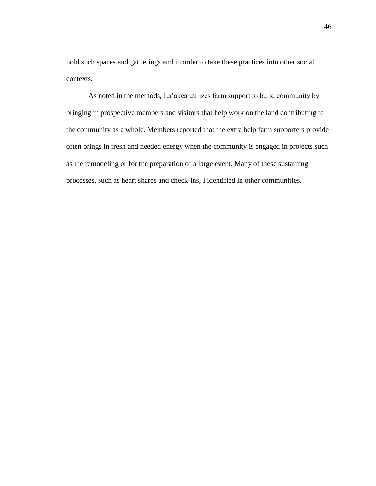hold such spaces and gatherings and in order to take these practices into other social contexts.

As noted in the methods, La'akea utilizes farm support to build community by bringing in prospective members and visitors that help work on the land contributing to the community as a whole. Members reported that the extra help farm supporters provide often brings in fresh and needed energy when the community is engaged in projects such as the remodeling or for the preparation of a large event. Many of these sustaining processes, such as heart shares and check-ins, I identified in other communities.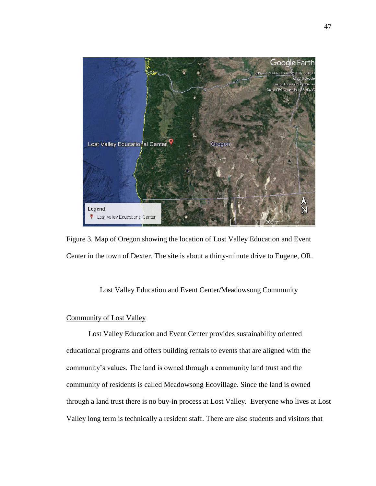

Figure 3. Map of Oregon showing the location of Lost Valley Education and Event Center in the town of Dexter. The site is about a thirty-minute drive to Eugene, OR.

# Lost Valley Education and Event Center/Meadowsong Community

# Community of Lost Valley

Lost Valley Education and Event Center provides sustainability oriented educational programs and offers building rentals to events that are aligned with the community's values. The land is owned through a community land trust and the community of residents is called Meadowsong Ecovillage. Since the land is owned through a land trust there is no buy-in process at Lost Valley. Everyone who lives at Lost Valley long term is technically a resident staff. There are also students and visitors that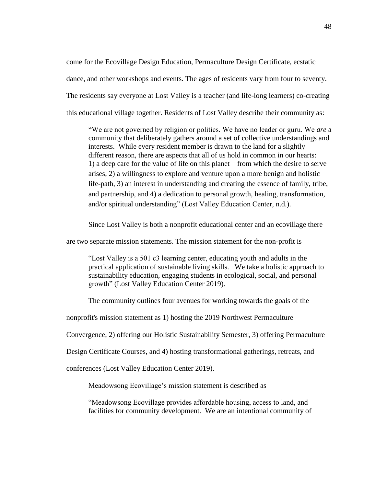come for the Ecovillage Design Education, Permaculture Design Certificate, ecstatic dance, and other workshops and events. The ages of residents vary from four to seventy. The residents say everyone at Lost Valley is a teacher (and life-long learners) co-creating this educational village together. Residents of Lost Valley describe their community as:

"We are not governed by religion or politics. We have no leader or guru. We *are* a community that deliberately gathers around a set of collective understandings and interests. While every resident member is drawn to the land for a slightly different reason, there are aspects that all of us hold in common in our hearts: 1) a deep care for the value of life on this planet – from which the desire to serve arises, 2) a willingness to explore and venture upon a more benign and holistic life-path, 3) an interest in understanding and creating the essence of family, tribe, and partnership, and 4) a dedication to personal growth, healing, transformation, and/or spiritual understanding" (Lost Valley Education Center, n.d.).

Since Lost Valley is both a nonprofit educational center and an ecovillage there

are two separate mission statements. The mission statement for the non-profit is

"Lost Valley is a 501 c3 learning center, educating youth and adults in the practical application of sustainable living skills. We take a holistic approach to sustainability education, engaging students in ecological, social, and personal growth" (Lost Valley Education Center 2019).

The community outlines four avenues for working towards the goals of the

nonprofit's mission statement as 1) hosting the 2019 Northwest Permaculture

Convergence, 2) offering our Holistic Sustainability Semester, 3) offering Permaculture

Design Certificate Courses, and 4) hosting transformational gatherings, retreats, and

conferences (Lost Valley Education Center 2019).

Meadowsong Ecovillage's mission statement is described as

"Meadowsong Ecovillage provides affordable housing, access to land, and facilities for community development. We are an intentional community of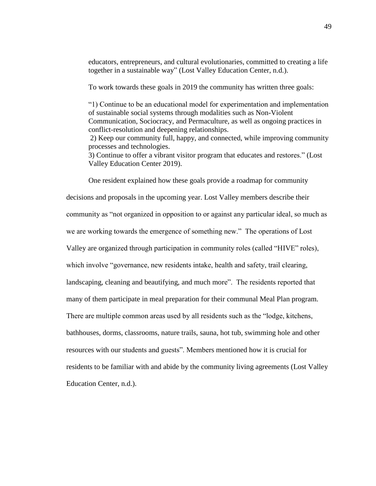educators, entrepreneurs, and cultural evolutionaries, committed to creating a life together in a sustainable way" (Lost Valley Education Center, n.d.).

To work towards these goals in 2019 the community has written three goals:

"1) Continue to be an educational model for experimentation and implementation of sustainable social systems through modalities such as Non-Violent Communication, Sociocracy, and Permaculture, as well as ongoing practices in conflict-resolution and deepening relationships.

2) Keep our community full, happy, and connected, while improving community processes and technologies.

3) Continue to offer a vibrant visitor program that educates and restores." (Lost Valley Education Center 2019).

One resident explained how these goals provide a roadmap for community decisions and proposals in the upcoming year. Lost Valley members describe their community as "not organized in opposition to or against any particular ideal, so much as we are working towards the emergence of something new." The operations of Lost Valley are organized through participation in community roles (called "HIVE" roles), which involve "governance, new residents intake, health and safety, trail clearing, landscaping, cleaning and beautifying, and much more". The residents reported that many of them participate in meal preparation for their communal Meal Plan program. There are multiple common areas used by all residents such as the "lodge, kitchens, bathhouses, dorms, classrooms, nature trails, sauna, hot tub, swimming hole and other resources with our students and guests". Members mentioned how it is crucial for residents to be familiar with and abide by the community living agreements (Lost Valley Education Center, n.d.).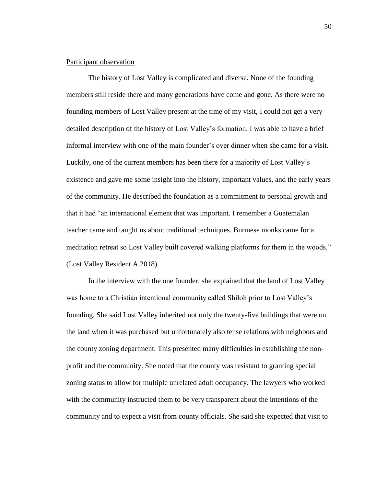### Participant observation

The history of Lost Valley is complicated and diverse. None of the founding members still reside there and many generations have come and gone. As there were no founding members of Lost Valley present at the time of my visit, I could not get a very detailed description of the history of Lost Valley's formation. I was able to have a brief informal interview with one of the main founder's over dinner when she came for a visit. Luckily, one of the current members has been there for a majority of Lost Valley's existence and gave me some insight into the history, important values, and the early years of the community. He described the foundation as a commitment to personal growth and that it had "an international element that was important. I remember a Guatemalan teacher came and taught us about traditional techniques. Burmese monks came for a meditation retreat so Lost Valley built covered walking platforms for them in the woods." (Lost Valley Resident A 2018).

In the interview with the one founder, she explained that the land of Lost Valley was home to a Christian intentional community called Shiloh prior to Lost Valley's founding. She said Lost Valley inherited not only the twenty-five buildings that were on the land when it was purchased but unfortunately also tense relations with neighbors and the county zoning department. This presented many difficulties in establishing the nonprofit and the community. She noted that the county was resistant to granting special zoning status to allow for multiple unrelated adult occupancy. The lawyers who worked with the community instructed them to be very transparent about the intentions of the community and to expect a visit from county officials. She said she expected that visit to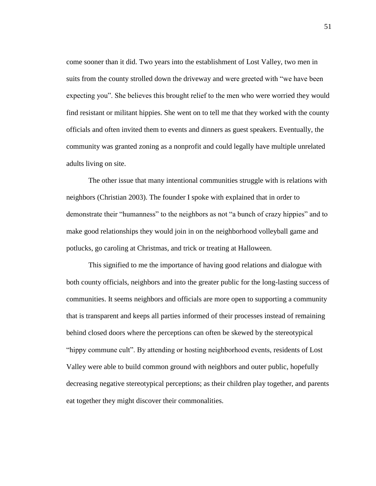come sooner than it did. Two years into the establishment of Lost Valley, two men in suits from the county strolled down the driveway and were greeted with "we have been expecting you". She believes this brought relief to the men who were worried they would find resistant or militant hippies. She went on to tell me that they worked with the county officials and often invited them to events and dinners as guest speakers. Eventually, the community was granted zoning as a nonprofit and could legally have multiple unrelated adults living on site.

The other issue that many intentional communities struggle with is relations with neighbors (Christian 2003). The founder I spoke with explained that in order to demonstrate their "humanness" to the neighbors as not "a bunch of crazy hippies" and to make good relationships they would join in on the neighborhood volleyball game and potlucks, go caroling at Christmas, and trick or treating at Halloween.

This signified to me the importance of having good relations and dialogue with both county officials, neighbors and into the greater public for the long-lasting success of communities. It seems neighbors and officials are more open to supporting a community that is transparent and keeps all parties informed of their processes instead of remaining behind closed doors where the perceptions can often be skewed by the stereotypical "hippy commune cult". By attending or hosting neighborhood events, residents of Lost Valley were able to build common ground with neighbors and outer public, hopefully decreasing negative stereotypical perceptions; as their children play together, and parents eat together they might discover their commonalities.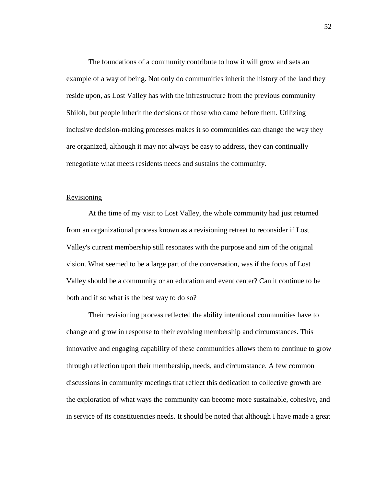The foundations of a community contribute to how it will grow and sets an example of a way of being. Not only do communities inherit the history of the land they reside upon, as Lost Valley has with the infrastructure from the previous community Shiloh, but people inherit the decisions of those who came before them. Utilizing inclusive decision-making processes makes it so communities can change the way they are organized, although it may not always be easy to address, they can continually renegotiate what meets residents needs and sustains the community.

#### Revisioning

At the time of my visit to Lost Valley, the whole community had just returned from an organizational process known as a revisioning retreat to reconsider if Lost Valley's current membership still resonates with the purpose and aim of the original vision. What seemed to be a large part of the conversation, was if the focus of Lost Valley should be a community or an education and event center? Can it continue to be both and if so what is the best way to do so?

Their revisioning process reflected the ability intentional communities have to change and grow in response to their evolving membership and circumstances. This innovative and engaging capability of these communities allows them to continue to grow through reflection upon their membership, needs, and circumstance. A few common discussions in community meetings that reflect this dedication to collective growth are the exploration of what ways the community can become more sustainable, cohesive, and in service of its constituencies needs. It should be noted that although I have made a great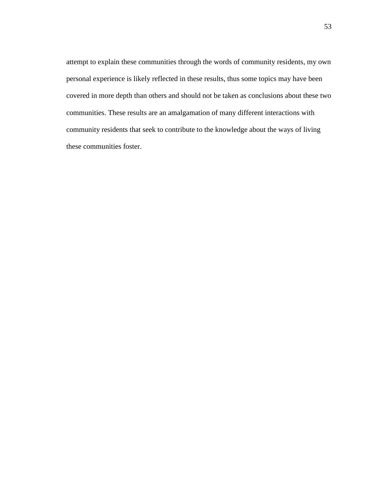attempt to explain these communities through the words of community residents, my own personal experience is likely reflected in these results, thus some topics may have been covered in more depth than others and should not be taken as conclusions about these two communities. These results are an amalgamation of many different interactions with community residents that seek to contribute to the knowledge about the ways of living these communities foster.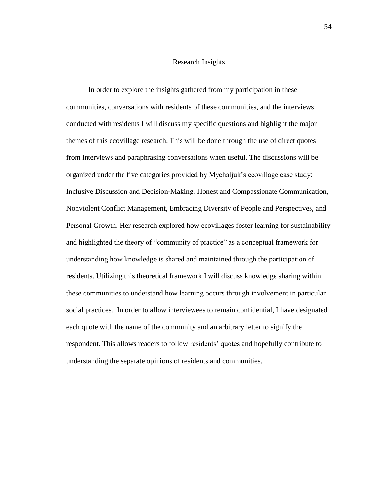### Research Insights

In order to explore the insights gathered from my participation in these communities, conversations with residents of these communities, and the interviews conducted with residents I will discuss my specific questions and highlight the major themes of this ecovillage research. This will be done through the use of direct quotes from interviews and paraphrasing conversations when useful. The discussions will be organized under the five categories provided by Mychaljuk's ecovillage case study: Inclusive Discussion and Decision-Making, Honest and Compassionate Communication, Nonviolent Conflict Management, Embracing Diversity of People and Perspectives, and Personal Growth. Her research explored how ecovillages foster learning for sustainability and highlighted the theory of "community of practice" as a conceptual framework for understanding how knowledge is shared and maintained through the participation of residents. Utilizing this theoretical framework I will discuss knowledge sharing within these communities to understand how learning occurs through involvement in particular social practices. In order to allow interviewees to remain confidential, I have designated each quote with the name of the community and an arbitrary letter to signify the respondent. This allows readers to follow residents' quotes and hopefully contribute to understanding the separate opinions of residents and communities.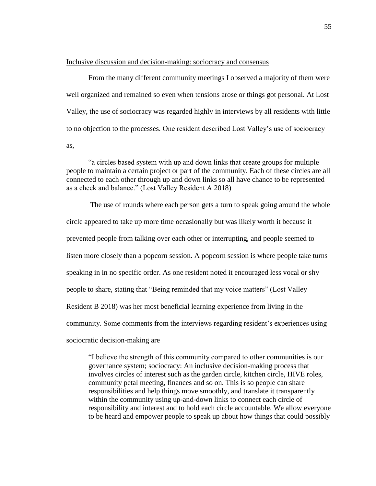Inclusive discussion and decision-making: sociocracy and consensus

From the many different community meetings I observed a majority of them were well organized and remained so even when tensions arose or things got personal. At Lost Valley, the use of sociocracy was regarded highly in interviews by all residents with little to no objection to the processes. One resident described Lost Valley's use of sociocracy as,

"a circles based system with up and down links that create groups for multiple people to maintain a certain project or part of the community. Each of these circles are all connected to each other through up and down links so all have chance to be represented as a check and balance." (Lost Valley Resident A 2018)

The use of rounds where each person gets a turn to speak going around the whole circle appeared to take up more time occasionally but was likely worth it because it prevented people from talking over each other or interrupting, and people seemed to listen more closely than a popcorn session. A popcorn session is where people take turns speaking in in no specific order. As one resident noted it encouraged less vocal or shy people to share, stating that "Being reminded that my voice matters" (Lost Valley Resident B 2018) was her most beneficial learning experience from living in the community. Some comments from the interviews regarding resident's experiences using sociocratic decision-making are

"I believe the strength of this community compared to other communities is our governance system; sociocracy: An inclusive decision-making process that involves circles of interest such as the garden circle, kitchen circle, HIVE roles, community petal meeting, finances and so on. This is so people can share responsibilities and help things move smoothly, and translate it transparently within the community using up-and-down links to connect each circle of responsibility and interest and to hold each circle accountable. We allow everyone to be heard and empower people to speak up about how things that could possibly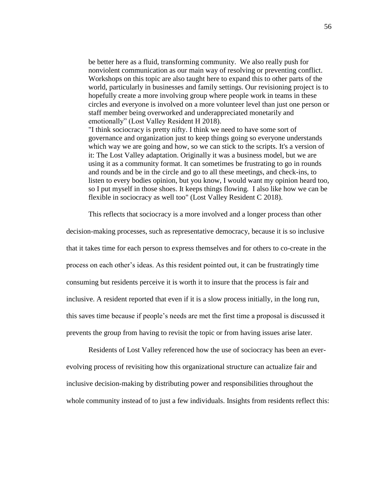be better here as a fluid, transforming community. We also really push for nonviolent communication as our main way of resolving or preventing conflict. Workshops on this topic are also taught here to expand this to other parts of the world, particularly in businesses and family settings. Our revisioning project is to hopefully create a more involving group where people work in teams in these circles and everyone is involved on a more volunteer level than just one person or staff member being overworked and underappreciated monetarily and emotionally" (Lost Valley Resident H 2018).

"I think sociocracy is pretty nifty. I think we need to have some sort of governance and organization just to keep things going so everyone understands which way we are going and how, so we can stick to the scripts. It's a version of it: The Lost Valley adaptation. Originally it was a business model, but we are using it as a community format. It can sometimes be frustrating to go in rounds and rounds and be in the circle and go to all these meetings, and check-ins, to listen to every bodies opinion, but you know, I would want my opinion heard too, so I put myself in those shoes. It keeps things flowing. I also like how we can be flexible in sociocracy as well too" (Lost Valley Resident C 2018).

This reflects that sociocracy is a more involved and a longer process than other

decision-making processes, such as representative democracy, because it is so inclusive that it takes time for each person to express themselves and for others to co-create in the process on each other's ideas. As this resident pointed out, it can be frustratingly time consuming but residents perceive it is worth it to insure that the process is fair and inclusive. A resident reported that even if it is a slow process initially, in the long run, this saves time because if people's needs are met the first time a proposal is discussed it prevents the group from having to revisit the topic or from having issues arise later.

Residents of Lost Valley referenced how the use of sociocracy has been an everevolving process of revisiting how this organizational structure can actualize fair and inclusive decision-making by distributing power and responsibilities throughout the whole community instead of to just a few individuals. Insights from residents reflect this: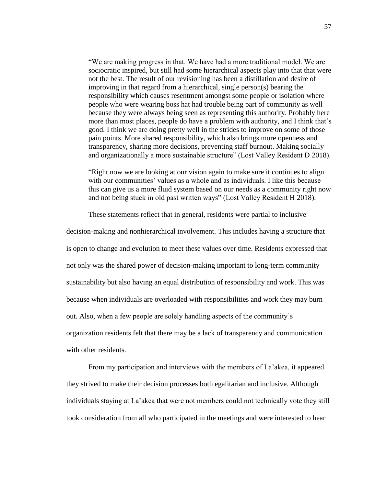"We are making progress in that. We have had a more traditional model. We are sociocratic inspired, but still had some hierarchical aspects play into that that were not the best. The result of our revisioning has been a distillation and desire of improving in that regard from a hierarchical, single person(s) bearing the responsibility which causes resentment amongst some people or isolation where people who were wearing boss hat had trouble being part of community as well because they were always being seen as representing this authority. Probably here more than most places, people do have a problem with authority, and I think that's good. I think we are doing pretty well in the strides to improve on some of those pain points. More shared responsibility, which also brings more openness and transparency, sharing more decisions, preventing staff burnout. Making socially and organizationally a more sustainable structure" (Lost Valley Resident D 2018).

"Right now we are looking at our vision again to make sure it continues to align with our communities' values as a whole and as individuals. I like this because this can give us a more fluid system based on our needs as a community right now and not being stuck in old past written ways" (Lost Valley Resident H 2018).

These statements reflect that in general, residents were partial to inclusive

decision-making and nonhierarchical involvement. This includes having a structure that is open to change and evolution to meet these values over time. Residents expressed that not only was the shared power of decision-making important to long-term community sustainability but also having an equal distribution of responsibility and work. This was because when individuals are overloaded with responsibilities and work they may burn out. Also, when a few people are solely handling aspects of the community's organization residents felt that there may be a lack of transparency and communication with other residents.

From my participation and interviews with the members of La'akea, it appeared they strived to make their decision processes both egalitarian and inclusive. Although individuals staying at La'akea that were not members could not technically vote they still took consideration from all who participated in the meetings and were interested to hear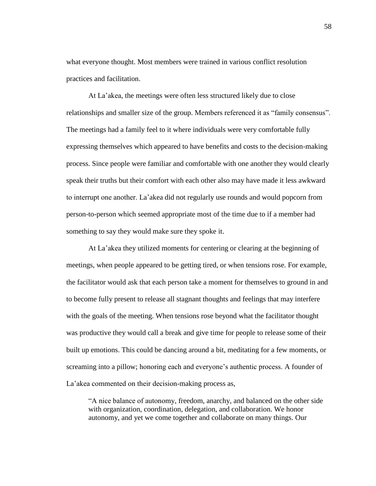what everyone thought. Most members were trained in various conflict resolution practices and facilitation.

At La'akea, the meetings were often less structured likely due to close relationships and smaller size of the group. Members referenced it as "family consensus". The meetings had a family feel to it where individuals were very comfortable fully expressing themselves which appeared to have benefits and costs to the decision-making process. Since people were familiar and comfortable with one another they would clearly speak their truths but their comfort with each other also may have made it less awkward to interrupt one another. La'akea did not regularly use rounds and would popcorn from person-to-person which seemed appropriate most of the time due to if a member had something to say they would make sure they spoke it.

At La'akea they utilized moments for centering or clearing at the beginning of meetings, when people appeared to be getting tired, or when tensions rose. For example, the facilitator would ask that each person take a moment for themselves to ground in and to become fully present to release all stagnant thoughts and feelings that may interfere with the goals of the meeting. When tensions rose beyond what the facilitator thought was productive they would call a break and give time for people to release some of their built up emotions. This could be dancing around a bit, meditating for a few moments, or screaming into a pillow; honoring each and everyone's authentic process. A founder of La'akea commented on their decision-making process as,

"A nice balance of autonomy, freedom, anarchy, and balanced on the other side with organization, coordination, delegation, and collaboration. We honor autonomy, and yet we come together and collaborate on many things. Our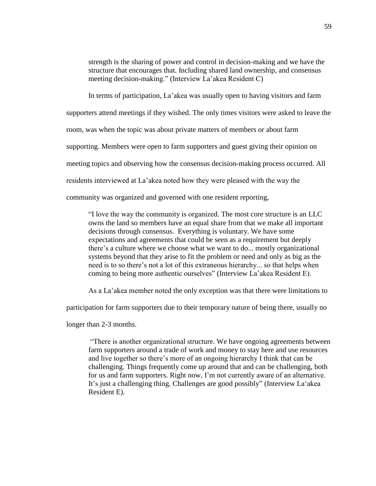strength is the sharing of power and control in decision-making and we have the structure that encourages that. Including shared land ownership, and consensus meeting decision-making." (Interview La'akea Resident C)

In terms of participation, La'akea was usually open to having visitors and farm

supporters attend meetings if they wished. The only times visitors were asked to leave the

room, was when the topic was about private matters of members or about farm

supporting. Members were open to farm supporters and guest giving their opinion on

meeting topics and observing how the consensus decision-making process occurred. All

residents interviewed at La'akea noted how they were pleased with the way the

community was organized and governed with one resident reporting,

"I love the way the community is organized. The most core structure is an LLC owns the land so members have an equal share from that we make all important decisions through consensus. Everything is voluntary. We have some expectations and agreements that could be seen as a requirement but deeply there's a culture where we choose what we want to do... mostly organizational systems beyond that they arise to fit the problem or need and only as big as the need is to so there's not a lot of this extraneous hierarchy... so that helps when coming to being more authentic ourselves" (Interview La'akea Resident E).

As a La'akea member noted the only exception was that there were limitations to

participation for farm supporters due to their temporary nature of being there, usually no

longer than 2-3 months.

"There is another organizational structure. We have ongoing agreements between farm supporters around a trade of work and money to stay here and use resources and live together so there's more of an ongoing hierarchy I think that can be challenging. Things frequently come up around that and can be challenging, both for us and farm supporters. Right now, I'm not currently aware of an alternative. It's just a challenging thing. Challenges are good possibly" (Interview La'akea Resident E).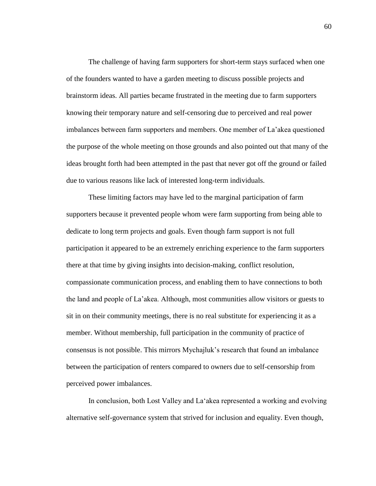The challenge of having farm supporters for short-term stays surfaced when one of the founders wanted to have a garden meeting to discuss possible projects and brainstorm ideas. All parties became frustrated in the meeting due to farm supporters knowing their temporary nature and self-censoring due to perceived and real power imbalances between farm supporters and members. One member of La'akea questioned the purpose of the whole meeting on those grounds and also pointed out that many of the ideas brought forth had been attempted in the past that never got off the ground or failed due to various reasons like lack of interested long-term individuals.

These limiting factors may have led to the marginal participation of farm supporters because it prevented people whom were farm supporting from being able to dedicate to long term projects and goals. Even though farm support is not full participation it appeared to be an extremely enriching experience to the farm supporters there at that time by giving insights into decision-making, conflict resolution, compassionate communication process, and enabling them to have connections to both the land and people of La'akea. Although, most communities allow visitors or guests to sit in on their community meetings, there is no real substitute for experiencing it as a member. Without membership, full participation in the community of practice of consensus is not possible. This mirrors Mychajluk's research that found an imbalance between the participation of renters compared to owners due to self-censorship from perceived power imbalances.

In conclusion, both Lost Valley and La'akea represented a working and evolving alternative self-governance system that strived for inclusion and equality. Even though,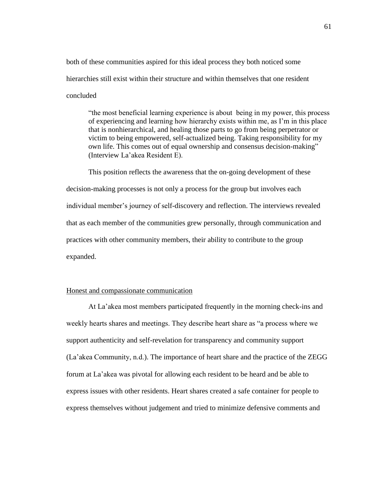both of these communities aspired for this ideal process they both noticed some hierarchies still exist within their structure and within themselves that one resident concluded

"the most beneficial learning experience is about being in my power, this process of experiencing and learning how hierarchy exists within me, as I'm in this place that is nonhierarchical, and healing those parts to go from being perpetrator or victim to being empowered, self-actualized being. Taking responsibility for my own life. This comes out of equal ownership and consensus decision-making" (Interview La'akea Resident E).

This position reflects the awareness that the on-going development of these decision-making processes is not only a process for the group but involves each individual member's journey of self-discovery and reflection. The interviews revealed that as each member of the communities grew personally, through communication and practices with other community members, their ability to contribute to the group expanded.

# Honest and compassionate communication

At La'akea most members participated frequently in the morning check-ins and weekly hearts shares and meetings. They describe heart share as "a process where we support authenticity and self-revelation for transparency and community support (La'akea Community, n.d.). The importance of heart share and the practice of the ZEGG forum at La'akea was pivotal for allowing each resident to be heard and be able to express issues with other residents. Heart shares created a safe container for people to express themselves without judgement and tried to minimize defensive comments and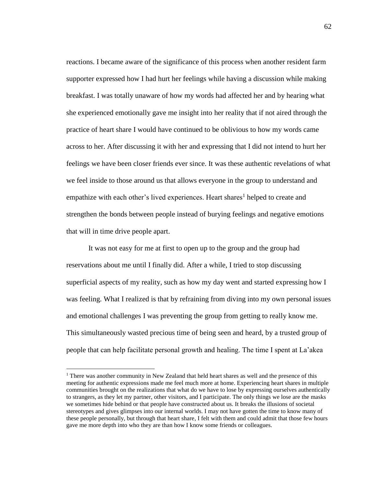reactions. I became aware of the significance of this process when another resident farm supporter expressed how I had hurt her feelings while having a discussion while making breakfast. I was totally unaware of how my words had affected her and by hearing what she experienced emotionally gave me insight into her reality that if not aired through the practice of heart share I would have continued to be oblivious to how my words came across to her. After discussing it with her and expressing that I did not intend to hurt her feelings we have been closer friends ever since. It was these authentic revelations of what we feel inside to those around us that allows everyone in the group to understand and empathize with each other's lived experiences. Heart shares<sup>1</sup> helped to create and strengthen the bonds between people instead of burying feelings and negative emotions that will in time drive people apart.

It was not easy for me at first to open up to the group and the group had reservations about me until I finally did. After a while, I tried to stop discussing superficial aspects of my reality, such as how my day went and started expressing how I was feeling. What I realized is that by refraining from diving into my own personal issues and emotional challenges I was preventing the group from getting to really know me. This simultaneously wasted precious time of being seen and heard, by a trusted group of people that can help facilitate personal growth and healing. The time I spent at La'akea

 $\overline{a}$ 

<sup>&</sup>lt;sup>1</sup> There was another community in New Zealand that held heart shares as well and the presence of this meeting for authentic expressions made me feel much more at home. Experiencing heart shares in multiple communities brought on the realizations that what do we have to lose by expressing ourselves authentically to strangers, as they let my partner, other visitors, and I participate. The only things we lose are the masks we sometimes hide behind or that people have constructed about us. It breaks the illusions of societal stereotypes and gives glimpses into our internal worlds. I may not have gotten the time to know many of these people personally, but through that heart share, I felt with them and could admit that those few hours gave me more depth into who they are than how I know some friends or colleagues.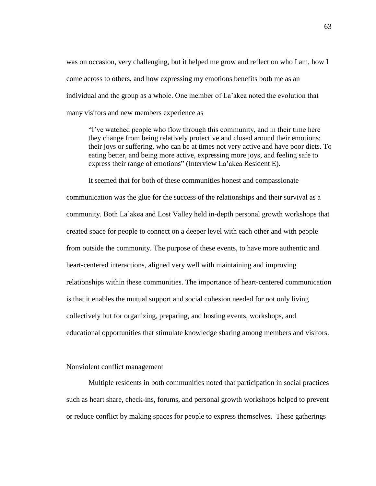was on occasion, very challenging, but it helped me grow and reflect on who I am, how I come across to others, and how expressing my emotions benefits both me as an individual and the group as a whole. One member of La'akea noted the evolution that many visitors and new members experience as

"I've watched people who flow through this community, and in their time here they change from being relatively protective and closed around their emotions; their joys or suffering, who can be at times not very active and have poor diets. To eating better, and being more active, expressing more joys, and feeling safe to express their range of emotions" (Interview La'akea Resident E).

It seemed that for both of these communities honest and compassionate communication was the glue for the success of the relationships and their survival as a community. Both La'akea and Lost Valley held in-depth personal growth workshops that created space for people to connect on a deeper level with each other and with people from outside the community. The purpose of these events, to have more authentic and heart-centered interactions, aligned very well with maintaining and improving relationships within these communities. The importance of heart-centered communication is that it enables the mutual support and social cohesion needed for not only living collectively but for organizing, preparing, and hosting events, workshops, and educational opportunities that stimulate knowledge sharing among members and visitors.

### Nonviolent conflict management

Multiple residents in both communities noted that participation in social practices such as heart share, check-ins, forums, and personal growth workshops helped to prevent or reduce conflict by making spaces for people to express themselves. These gatherings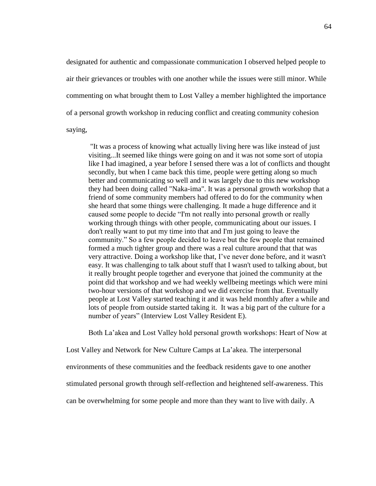designated for authentic and compassionate communication I observed helped people to air their grievances or troubles with one another while the issues were still minor. While commenting on what brought them to Lost Valley a member highlighted the importance of a personal growth workshop in reducing conflict and creating community cohesion saying,

"It was a process of knowing what actually living here was like instead of just visiting...It seemed like things were going on and it was not some sort of utopia like I had imagined, a year before I sensed there was a lot of conflicts and thought secondly, but when I came back this time, people were getting along so much better and communicating so well and it was largely due to this new workshop they had been doing called "Naka-ima". It was a personal growth workshop that a friend of some community members had offered to do for the community when she heard that some things were challenging. It made a huge difference and it caused some people to decide "I'm not really into personal growth or really working through things with other people, communicating about our issues. I don't really want to put my time into that and I'm just going to leave the community." So a few people decided to leave but the few people that remained formed a much tighter group and there was a real culture around that that was very attractive. Doing a workshop like that, I've never done before, and it wasn't easy. It was challenging to talk about stuff that I wasn't used to talking about, but it really brought people together and everyone that joined the community at the point did that workshop and we had weekly wellbeing meetings which were mini two-hour versions of that workshop and we did exercise from that. Eventually people at Lost Valley started teaching it and it was held monthly after a while and lots of people from outside started taking it. It was a big part of the culture for a number of years" (Interview Lost Valley Resident E).

Both La'akea and Lost Valley hold personal growth workshops: Heart of Now at

Lost Valley and Network for New Culture Camps at La'akea. The interpersonal

environments of these communities and the feedback residents gave to one another

stimulated personal growth through self-reflection and heightened self-awareness. This

can be overwhelming for some people and more than they want to live with daily. A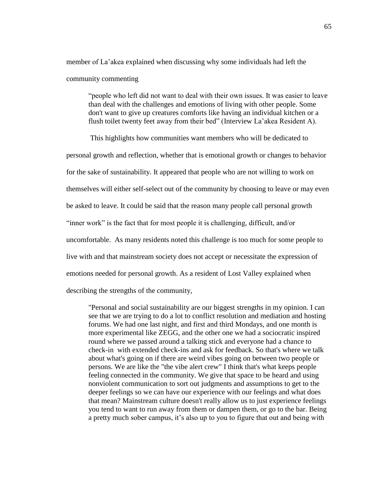member of La'akea explained when discussing why some individuals had left the community commenting

"people who left did not want to deal with their own issues. It was easier to leave than deal with the challenges and emotions of living with other people. Some don't want to give up creatures comforts like having an individual kitchen or a flush toilet twenty feet away from their bed" (Interview La'akea Resident A).

This highlights how communities want members who will be dedicated to personal growth and reflection, whether that is emotional growth or changes to behavior for the sake of sustainability. It appeared that people who are not willing to work on themselves will either self-select out of the community by choosing to leave or may even be asked to leave. It could be said that the reason many people call personal growth "inner work" is the fact that for most people it is challenging, difficult, and/or uncomfortable. As many residents noted this challenge is too much for some people to live with and that mainstream society does not accept or necessitate the expression of emotions needed for personal growth. As a resident of Lost Valley explained when describing the strengths of the community,

"Personal and social sustainability are our biggest strengths in my opinion. I can see that we are trying to do a lot to conflict resolution and mediation and hosting forums. We had one last night, and first and third Mondays, and one month is more experimental like ZEGG, and the other one we had a sociocratic inspired round where we passed around a talking stick and everyone had a chance to check-in with extended check-ins and ask for feedback. So that's where we talk about what's going on if there are weird vibes going on between two people or persons. We are like the "the vibe alert crew" I think that's what keeps people feeling connected in the community. We give that space to be heard and using nonviolent communication to sort out judgments and assumptions to get to the deeper feelings so we can have our experience with our feelings and what does that mean? Mainstream culture doesn't really allow us to just experience feelings you tend to want to run away from them or dampen them, or go to the bar. Being a pretty much sober campus, it's also up to you to figure that out and being with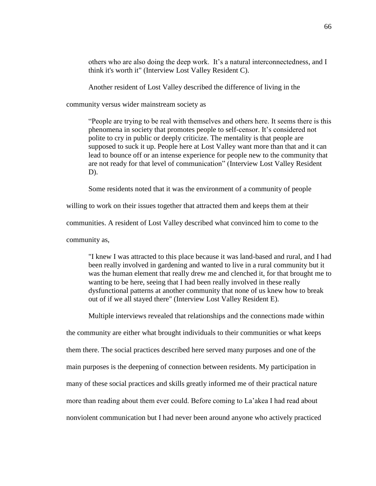others who are also doing the deep work. It's a natural interconnectedness, and I think it's worth it" (Interview Lost Valley Resident C).

Another resident of Lost Valley described the difference of living in the

community versus wider mainstream society as

"People are trying to be real with themselves and others here. It seems there is this phenomena in society that promotes people to self-censor. It's considered not polite to cry in public or deeply criticize. The mentality is that people are supposed to suck it up. People here at Lost Valley want more than that and it can lead to bounce off or an intense experience for people new to the community that are not ready for that level of communication" (Interview Lost Valley Resident D).

Some residents noted that it was the environment of a community of people

willing to work on their issues together that attracted them and keeps them at their

communities. A resident of Lost Valley described what convinced him to come to the

community as,

"I knew I was attracted to this place because it was land-based and rural, and I had been really involved in gardening and wanted to live in a rural community but it was the human element that really drew me and clenched it, for that brought me to wanting to be here, seeing that I had been really involved in these really dysfunctional patterns at another community that none of us knew how to break out of if we all stayed there" (Interview Lost Valley Resident E).

Multiple interviews revealed that relationships and the connections made within

the community are either what brought individuals to their communities or what keeps them there. The social practices described here served many purposes and one of the main purposes is the deepening of connection between residents. My participation in many of these social practices and skills greatly informed me of their practical nature more than reading about them ever could. Before coming to La'akea I had read about nonviolent communication but I had never been around anyone who actively practiced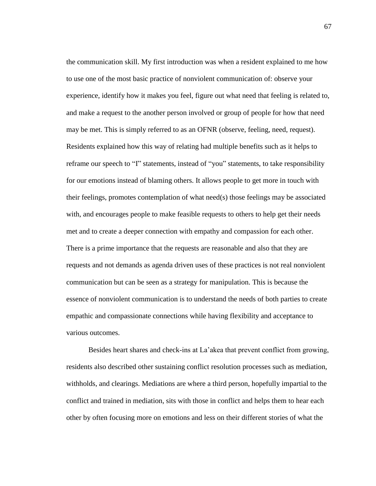the communication skill. My first introduction was when a resident explained to me how to use one of the most basic practice of nonviolent communication of: observe your experience, identify how it makes you feel, figure out what need that feeling is related to, and make a request to the another person involved or group of people for how that need may be met. This is simply referred to as an OFNR (observe, feeling, need, request). Residents explained how this way of relating had multiple benefits such as it helps to reframe our speech to "I" statements, instead of "you" statements, to take responsibility for our emotions instead of blaming others. It allows people to get more in touch with their feelings, promotes contemplation of what need(s) those feelings may be associated with, and encourages people to make feasible requests to others to help get their needs met and to create a deeper connection with empathy and compassion for each other. There is a prime importance that the requests are reasonable and also that they are requests and not demands as agenda driven uses of these practices is not real nonviolent communication but can be seen as a strategy for manipulation. This is because the essence of nonviolent communication is to understand the needs of both parties to create empathic and compassionate connections while having flexibility and acceptance to various outcomes.

Besides heart shares and check-ins at La'akea that prevent conflict from growing, residents also described other sustaining conflict resolution processes such as mediation, withholds, and clearings. Mediations are where a third person, hopefully impartial to the conflict and trained in mediation, sits with those in conflict and helps them to hear each other by often focusing more on emotions and less on their different stories of what the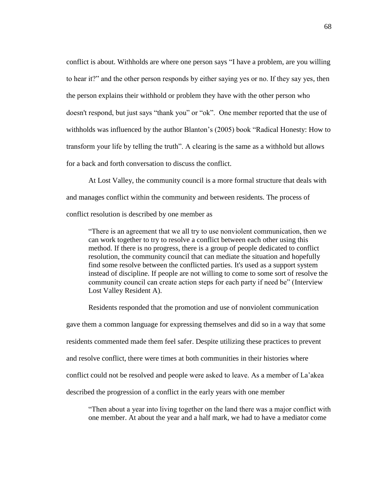conflict is about. Withholds are where one person says "I have a problem, are you willing to hear it?" and the other person responds by either saying yes or no. If they say yes, then the person explains their withhold or problem they have with the other person who doesn't respond, but just says "thank you" or "ok". One member reported that the use of withholds was influenced by the author Blanton's (2005) book "Radical Honesty: How to transform your life by telling the truth". A clearing is the same as a withhold but allows for a back and forth conversation to discuss the conflict.

At Lost Valley, the community council is a more formal structure that deals with and manages conflict within the community and between residents. The process of conflict resolution is described by one member as

"There is an agreement that we all try to use nonviolent communication, then we can work together to try to resolve a conflict between each other using this method. If there is no progress, there is a group of people dedicated to conflict resolution, the community council that can mediate the situation and hopefully find some resolve between the conflicted parties. It's used as a support system instead of discipline. If people are not willing to come to some sort of resolve the community council can create action steps for each party if need be" (Interview Lost Valley Resident A).

Residents responded that the promotion and use of nonviolent communication gave them a common language for expressing themselves and did so in a way that some residents commented made them feel safer. Despite utilizing these practices to prevent and resolve conflict, there were times at both communities in their histories where conflict could not be resolved and people were asked to leave. As a member of La'akea described the progression of a conflict in the early years with one member

"Then about a year into living together on the land there was a major conflict with one member. At about the year and a half mark, we had to have a mediator come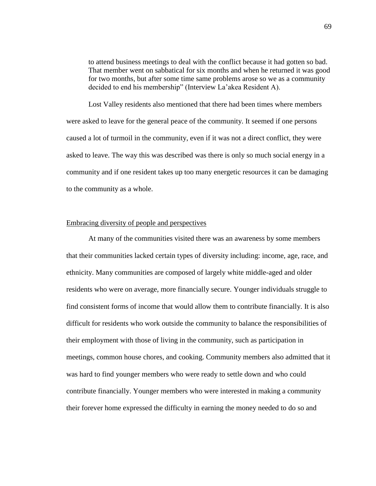to attend business meetings to deal with the conflict because it had gotten so bad. That member went on sabbatical for six months and when he returned it was good for two months, but after some time same problems arose so we as a community decided to end his membership" (Interview La'akea Resident A).

Lost Valley residents also mentioned that there had been times where members were asked to leave for the general peace of the community. It seemed if one persons caused a lot of turmoil in the community, even if it was not a direct conflict, they were asked to leave. The way this was described was there is only so much social energy in a community and if one resident takes up too many energetic resources it can be damaging to the community as a whole.

## Embracing diversity of people and perspectives

At many of the communities visited there was an awareness by some members that their communities lacked certain types of diversity including: income, age, race, and ethnicity. Many communities are composed of largely white middle-aged and older residents who were on average, more financially secure. Younger individuals struggle to find consistent forms of income that would allow them to contribute financially. It is also difficult for residents who work outside the community to balance the responsibilities of their employment with those of living in the community, such as participation in meetings, common house chores, and cooking. Community members also admitted that it was hard to find younger members who were ready to settle down and who could contribute financially. Younger members who were interested in making a community their forever home expressed the difficulty in earning the money needed to do so and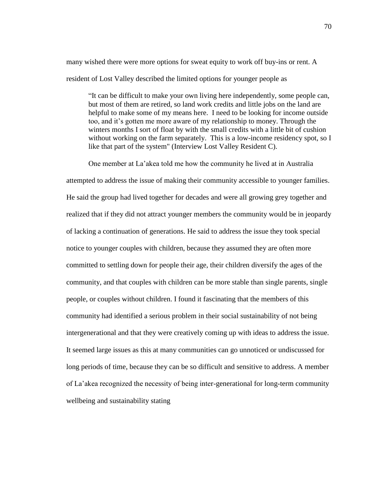many wished there were more options for sweat equity to work off buy-ins or rent. A resident of Lost Valley described the limited options for younger people as

"It can be difficult to make your own living here independently, some people can, but most of them are retired, so land work credits and little jobs on the land are helpful to make some of my means here. I need to be looking for income outside too, and it's gotten me more aware of my relationship to money. Through the winters months I sort of float by with the small credits with a little bit of cushion without working on the farm separately. This is a low-income residency spot, so I like that part of the system" (Interview Lost Valley Resident C).

One member at La'akea told me how the community he lived at in Australia attempted to address the issue of making their community accessible to younger families. He said the group had lived together for decades and were all growing grey together and realized that if they did not attract younger members the community would be in jeopardy of lacking a continuation of generations. He said to address the issue they took special notice to younger couples with children, because they assumed they are often more committed to settling down for people their age, their children diversify the ages of the community, and that couples with children can be more stable than single parents, single people, or couples without children. I found it fascinating that the members of this community had identified a serious problem in their social sustainability of not being intergenerational and that they were creatively coming up with ideas to address the issue. It seemed large issues as this at many communities can go unnoticed or undiscussed for long periods of time, because they can be so difficult and sensitive to address. A member of La'akea recognized the necessity of being inter-generational for long-term community wellbeing and sustainability stating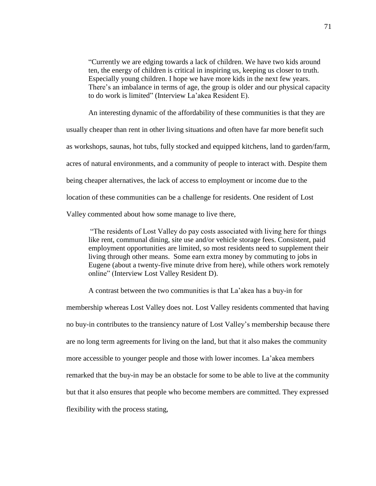"Currently we are edging towards a lack of children. We have two kids around ten, the energy of children is critical in inspiring us, keeping us closer to truth. Especially young children. I hope we have more kids in the next few years. There's an imbalance in terms of age, the group is older and our physical capacity to do work is limited" (Interview La'akea Resident E).

An interesting dynamic of the affordability of these communities is that they are usually cheaper than rent in other living situations and often have far more benefit such as workshops, saunas, hot tubs, fully stocked and equipped kitchens, land to garden/farm, acres of natural environments, and a community of people to interact with. Despite them being cheaper alternatives, the lack of access to employment or income due to the location of these communities can be a challenge for residents. One resident of Lost Valley commented about how some manage to live there,

"The residents of Lost Valley do pay costs associated with living here for things like rent, communal dining, site use and/or vehicle storage fees. Consistent, paid employment opportunities are limited, so most residents need to supplement their living through other means. Some earn extra money by commuting to jobs in Eugene (about a twenty-five minute drive from here), while others work remotely online" (Interview Lost Valley Resident D).

A contrast between the two communities is that La'akea has a buy-in for membership whereas Lost Valley does not. Lost Valley residents commented that having no buy-in contributes to the transiency nature of Lost Valley's membership because there are no long term agreements for living on the land, but that it also makes the community more accessible to younger people and those with lower incomes. La'akea members remarked that the buy-in may be an obstacle for some to be able to live at the community but that it also ensures that people who become members are committed. They expressed flexibility with the process stating,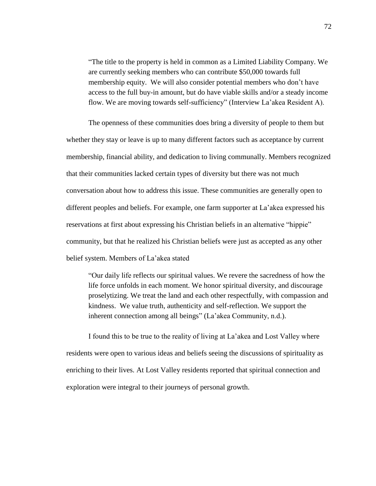"The title to the property is held in common as a Limited Liability Company. We are currently seeking members who can contribute \$50,000 towards full membership equity. We will also consider potential members who don't have access to the full buy-in amount, but do have viable skills and/or a steady income flow. We are moving towards self-sufficiency" (Interview La'akea Resident A).

The openness of these communities does bring a diversity of people to them but whether they stay or leave is up to many different factors such as acceptance by current membership, financial ability, and dedication to living communally. Members recognized that their communities lacked certain types of diversity but there was not much conversation about how to address this issue. These communities are generally open to different peoples and beliefs. For example, one farm supporter at La'akea expressed his reservations at first about expressing his Christian beliefs in an alternative "hippie" community, but that he realized his Christian beliefs were just as accepted as any other belief system. Members of La'akea stated

"Our daily life reflects our spiritual values. We revere the sacredness of how the life force unfolds in each moment. We honor spiritual diversity, and discourage proselytizing. We treat the land and each other respectfully, with compassion and kindness. We value truth, authenticity and self-reflection. We support the inherent connection among all beings" (La'akea Community, n.d.).

I found this to be true to the reality of living at La'akea and Lost Valley where residents were open to various ideas and beliefs seeing the discussions of spirituality as enriching to their lives. At Lost Valley residents reported that spiritual connection and exploration were integral to their journeys of personal growth.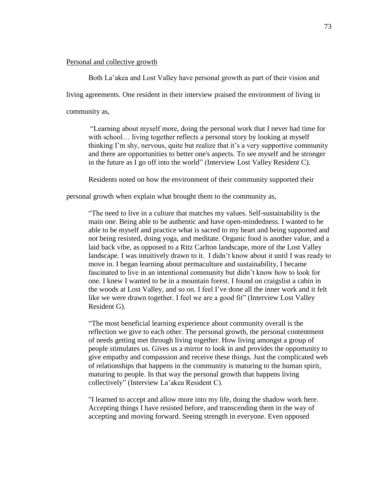## Personal and collective growth

Both La'akea and Lost Valley have personal growth as part of their vision and

living agreements. One resident in their interview praised the environment of living in

community as,

"Learning about myself more, doing the personal work that I never had time for with school... living together reflects a personal story by looking at myself thinking I'm shy, nervous, quite but realize that it's a very supportive community and there are opportunities to better one's aspects. To see myself and be stronger in the future as I go off into the world" (Interview Lost Valley Resident C).

Residents noted on how the environment of their community supported their

personal growth when explain what brought them to the community as,

"The need to live in a culture that matches my values. Self-sustainability is the main one. Being able to be authentic and have open-mindedness. I wanted to be able to be myself and practice what is sacred to my heart and being supported and not being resisted, doing yoga, and meditate. Organic food is another value, and a laid back vibe, as opposed to a Ritz Carlton landscape, more of the Lost Valley landscape. I was intuitively drawn to it. I didn't know about it until I was ready to move in. I began learning about permaculture and sustainability, I became fascinated to live in an intentional community but didn't know how to look for one. I knew I wanted to be in a mountain forest. I found on craigslist a cabin in the woods at Lost Valley, and so on. I feel I've done all the inner work and it felt like we were drawn together. I feel we are a good fit" (Interview Lost Valley Resident G).

"The most beneficial learning experience about community overall is the reflection we give to each other. The personal growth, the personal contentment of needs getting met through living together. How living amongst a group of people stimulates us. Gives us a mirror to look in and provides the opportunity to give empathy and compassion and receive these things. Just the complicated web of relationships that happens in the community is maturing to the human spirit, maturing to people. In that way the personal growth that happens living collectively" (Interview La'akea Resident C).

"I learned to accept and allow more into my life, doing the shadow work here. Accepting things I have resisted before, and transcending them in the way of accepting and moving forward. Seeing strength in everyone. Even opposed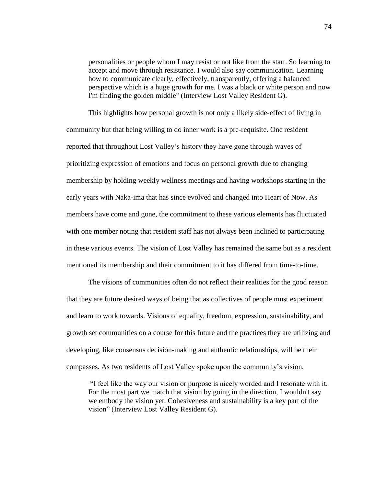personalities or people whom I may resist or not like from the start. So learning to accept and move through resistance. I would also say communication. Learning how to communicate clearly, effectively, transparently, offering a balanced perspective which is a huge growth for me. I was a black or white person and now I'm finding the golden middle" (Interview Lost Valley Resident G).

This highlights how personal growth is not only a likely side-effect of living in community but that being willing to do inner work is a pre-requisite. One resident reported that throughout Lost Valley's history they have gone through waves of prioritizing expression of emotions and focus on personal growth due to changing membership by holding weekly wellness meetings and having workshops starting in the early years with Naka-ima that has since evolved and changed into Heart of Now. As members have come and gone, the commitment to these various elements has fluctuated with one member noting that resident staff has not always been inclined to participating in these various events. The vision of Lost Valley has remained the same but as a resident mentioned its membership and their commitment to it has differed from time-to-time.

The visions of communities often do not reflect their realities for the good reason that they are future desired ways of being that as collectives of people must experiment and learn to work towards. Visions of equality, freedom, expression, sustainability, and growth set communities on a course for this future and the practices they are utilizing and developing, like consensus decision-making and authentic relationships, will be their compasses. As two residents of Lost Valley spoke upon the community's vision,

"I feel like the way our vision or purpose is nicely worded and I resonate with it. For the most part we match that vision by going in the direction, I wouldn't say we embody the vision yet. Cohesiveness and sustainability is a key part of the vision" (Interview Lost Valley Resident G).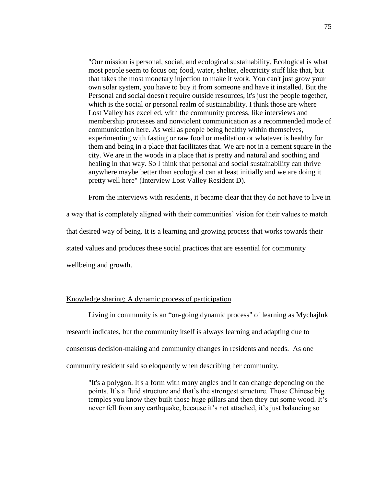"Our mission is personal, social, and ecological sustainability. Ecological is what most people seem to focus on; food, water, shelter, electricity stuff like that, but that takes the most monetary injection to make it work. You can't just grow your own solar system, you have to buy it from someone and have it installed. But the Personal and social doesn't require outside resources, it's just the people together, which is the social or personal realm of sustainability. I think those are where Lost Valley has excelled, with the community process, like interviews and membership processes and nonviolent communication as a recommended mode of communication here. As well as people being healthy within themselves, experimenting with fasting or raw food or meditation or whatever is healthy for them and being in a place that facilitates that. We are not in a cement square in the city. We are in the woods in a place that is pretty and natural and soothing and healing in that way. So I think that personal and social sustainability can thrive anywhere maybe better than ecological can at least initially and we are doing it pretty well here" (Interview Lost Valley Resident D).

From the interviews with residents, it became clear that they do not have to live in

a way that is completely aligned with their communities' vision for their values to match that desired way of being. It is a learning and growing process that works towards their stated values and produces these social practices that are essential for community wellbeing and growth.

# Knowledge sharing: A dynamic process of participation

Living in community is an "on-going dynamic process" of learning as Mychajluk research indicates, but the community itself is always learning and adapting due to consensus decision-making and community changes in residents and needs. As one community resident said so eloquently when describing her community,

"It's a polygon. It's a form with many angles and it can change depending on the points. It's a fluid structure and that's the strongest structure. Those Chinese big temples you know they built those huge pillars and then they cut some wood. It's never fell from any earthquake, because it's not attached, it's just balancing so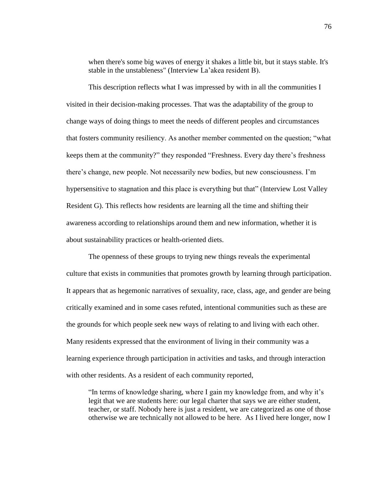when there's some big waves of energy it shakes a little bit, but it stays stable. It's stable in the unstableness" (Interview La'akea resident B).

This description reflects what I was impressed by with in all the communities I visited in their decision-making processes. That was the adaptability of the group to change ways of doing things to meet the needs of different peoples and circumstances that fosters community resiliency. As another member commented on the question; "what keeps them at the community?" they responded "Freshness. Every day there's freshness there's change, new people. Not necessarily new bodies, but new consciousness. I'm hypersensitive to stagnation and this place is everything but that" (Interview Lost Valley Resident G). This reflects how residents are learning all the time and shifting their awareness according to relationships around them and new information, whether it is about sustainability practices or health-oriented diets.

The openness of these groups to trying new things reveals the experimental culture that exists in communities that promotes growth by learning through participation. It appears that as hegemonic narratives of sexuality, race, class, age, and gender are being critically examined and in some cases refuted, intentional communities such as these are the grounds for which people seek new ways of relating to and living with each other. Many residents expressed that the environment of living in their community was a learning experience through participation in activities and tasks, and through interaction with other residents. As a resident of each community reported,

"In terms of knowledge sharing, where I gain my knowledge from, and why it's legit that we are students here: our legal charter that says we are either student, teacher, or staff. Nobody here is just a resident, we are categorized as one of those otherwise we are technically not allowed to be here. As I lived here longer, now I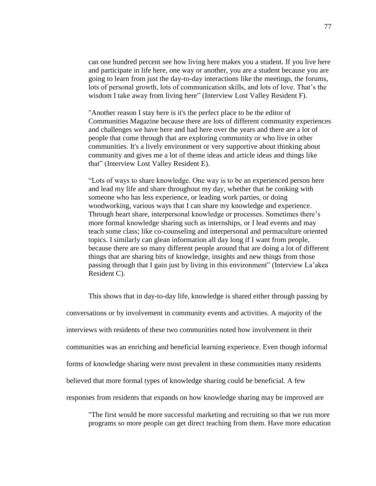can one hundred percent see how living here makes you a student. If you live here and participate in life here, one way or another, you are a student because you are going to learn from just the day-to-day interactions like the meetings, the forums, lots of personal growth, lots of communication skills, and lots of love. That's the wisdom I take away from living here" (Interview Lost Valley Resident F).

"Another reason I stay here is it's the perfect place to be the editor of Communities Magazine because there are lots of different community experiences and challenges we have here and had here over the years and there are a lot of people that come through that are exploring community or who live in other communities. It's a lively environment or very supportive about thinking about community and gives me a lot of theme ideas and article ideas and things like that" (Interview Lost Valley Resident E).

"Lots of ways to share knowledge. One way is to be an experienced person here and lead my life and share throughout my day, whether that be cooking with someone who has less experience, or leading work parties, or doing woodworking, various ways that I can share my knowledge and experience. Through heart share, interpersonal knowledge or processes. Sometimes there's more formal knowledge sharing such as internships, or I lead events and may teach some class; like co-counseling and interpersonal and permaculture oriented topics. I similarly can glean information all day long if I want from people, because there are so many different people around that are doing a lot of different things that are sharing bits of knowledge, insights and new things from those passing through that I gain just by living in this environment" (Interview La'akea Resident C).

This shows that in day-to-day life, knowledge is shared either through passing by conversations or by involvement in community events and activities. A majority of the interviews with residents of these two communities noted how involvement in their communities was an enriching and beneficial learning experience. Even though informal forms of knowledge sharing were most prevalent in these communities many residents believed that more formal types of knowledge sharing could be beneficial. A few responses from residents that expands on how knowledge sharing may be improved are

"The first would be more successful marketing and recruiting so that we run more programs so more people can get direct teaching from them. Have more education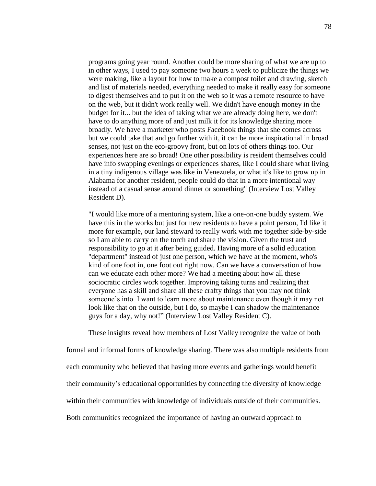programs going year round. Another could be more sharing of what we are up to in other ways, I used to pay someone two hours a week to publicize the things we were making, like a layout for how to make a compost toilet and drawing, sketch and list of materials needed, everything needed to make it really easy for someone to digest themselves and to put it on the web so it was a remote resource to have on the web, but it didn't work really well. We didn't have enough money in the budget for it... but the idea of taking what we are already doing here, we don't have to do anything more of and just milk it for its knowledge sharing more broadly. We have a marketer who posts Facebook things that she comes across but we could take that and go further with it, it can be more inspirational in broad senses, not just on the eco-groovy front, but on lots of others things too. Our experiences here are so broad! One other possibility is resident themselves could have info swapping evenings or experiences shares, like I could share what living in a tiny indigenous village was like in Venezuela, or what it's like to grow up in Alabama for another resident, people could do that in a more intentional way instead of a casual sense around dinner or something" (Interview Lost Valley Resident D).

"I would like more of a mentoring system, like a one-on-one buddy system. We have this in the works but just for new residents to have a point person, I'd like it more for example, our land steward to really work with me together side-by-side so I am able to carry on the torch and share the vision. Given the trust and responsibility to go at it after being guided. Having more of a solid education "department" instead of just one person, which we have at the moment, who's kind of one foot in, one foot out right now. Can we have a conversation of how can we educate each other more? We had a meeting about how all these sociocratic circles work together. Improving taking turns and realizing that everyone has a skill and share all these crafty things that you may not think someone's into. I want to learn more about maintenance even though it may not look like that on the outside, but I do, so maybe I can shadow the maintenance guys for a day, why not!" (Interview Lost Valley Resident C).

These insights reveal how members of Lost Valley recognize the value of both

formal and informal forms of knowledge sharing. There was also multiple residents from each community who believed that having more events and gatherings would benefit their community's educational opportunities by connecting the diversity of knowledge within their communities with knowledge of individuals outside of their communities. Both communities recognized the importance of having an outward approach to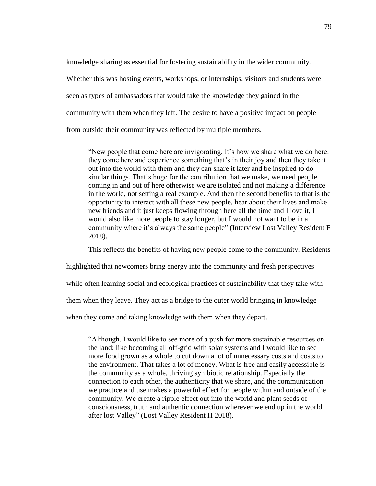knowledge sharing as essential for fostering sustainability in the wider community. Whether this was hosting events, workshops, or internships, visitors and students were seen as types of ambassadors that would take the knowledge they gained in the community with them when they left. The desire to have a positive impact on people from outside their community was reflected by multiple members,

"New people that come here are invigorating. It's how we share what we do here: they come here and experience something that's in their joy and then they take it out into the world with them and they can share it later and be inspired to do similar things. That's huge for the contribution that we make, we need people coming in and out of here otherwise we are isolated and not making a difference in the world, not setting a real example. And then the second benefits to that is the opportunity to interact with all these new people, hear about their lives and make new friends and it just keeps flowing through here all the time and I love it, I would also like more people to stay longer, but I would not want to be in a community where it's always the same people" (Interview Lost Valley Resident F 2018).

This reflects the benefits of having new people come to the community. Residents

highlighted that newcomers bring energy into the community and fresh perspectives

while often learning social and ecological practices of sustainability that they take with

them when they leave. They act as a bridge to the outer world bringing in knowledge

when they come and taking knowledge with them when they depart.

"Although, I would like to see more of a push for more sustainable resources on the land: like becoming all off-grid with solar systems and I would like to see more food grown as a whole to cut down a lot of unnecessary costs and costs to the environment. That takes a lot of money. What is free and easily accessible is the community as a whole, thriving symbiotic relationship. Especially the connection to each other, the authenticity that we share, and the communication we practice and use makes a powerful effect for people within and outside of the community. We create a ripple effect out into the world and plant seeds of consciousness, truth and authentic connection wherever we end up in the world after lost Valley" (Lost Valley Resident H 2018).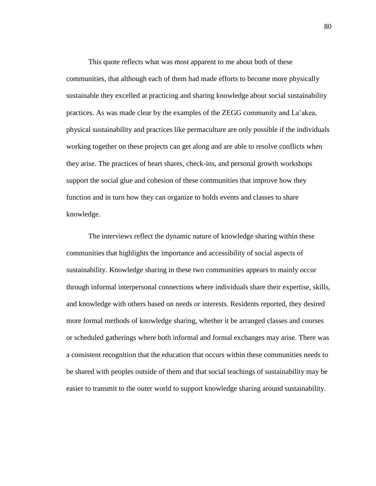This quote reflects what was most apparent to me about both of these communities, that although each of them had made efforts to become more physically sustainable they excelled at practicing and sharing knowledge about social sustainability practices. As was made clear by the examples of the ZEGG community and La'akea, physical sustainability and practices like permaculture are only possible if the individuals working together on these projects can get along and are able to resolve conflicts when they arise. The practices of heart shares, check-ins, and personal growth workshops support the social glue and cohesion of these communities that improve how they function and in turn how they can organize to holds events and classes to share knowledge.

The interviews reflect the dynamic nature of knowledge sharing within these communities that highlights the importance and accessibility of social aspects of sustainability. Knowledge sharing in these two communities appears to mainly occur through informal interpersonal connections where individuals share their expertise, skills, and knowledge with others based on needs or interests. Residents reported, they desired more formal methods of knowledge sharing, whether it be arranged classes and courses or scheduled gatherings where both informal and formal exchanges may arise. There was a consistent recognition that the education that occurs within these communities needs to be shared with peoples outside of them and that social teachings of sustainability may be easier to transmit to the outer world to support knowledge sharing around sustainability.

80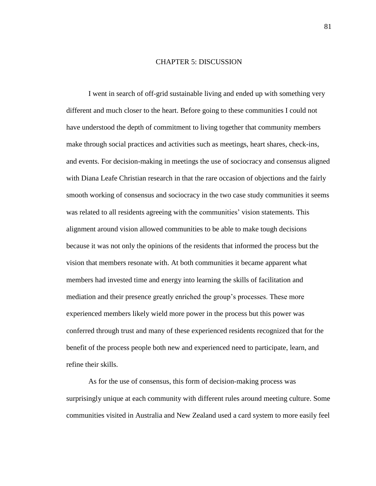### CHAPTER 5: DISCUSSION

I went in search of off-grid sustainable living and ended up with something very different and much closer to the heart. Before going to these communities I could not have understood the depth of commitment to living together that community members make through social practices and activities such as meetings, heart shares, check-ins, and events. For decision-making in meetings the use of sociocracy and consensus aligned with Diana Leafe Christian research in that the rare occasion of objections and the fairly smooth working of consensus and sociocracy in the two case study communities it seems was related to all residents agreeing with the communities' vision statements. This alignment around vision allowed communities to be able to make tough decisions because it was not only the opinions of the residents that informed the process but the vision that members resonate with. At both communities it became apparent what members had invested time and energy into learning the skills of facilitation and mediation and their presence greatly enriched the group's processes. These more experienced members likely wield more power in the process but this power was conferred through trust and many of these experienced residents recognized that for the benefit of the process people both new and experienced need to participate, learn, and refine their skills.

As for the use of consensus, this form of decision-making process was surprisingly unique at each community with different rules around meeting culture. Some communities visited in Australia and New Zealand used a card system to more easily feel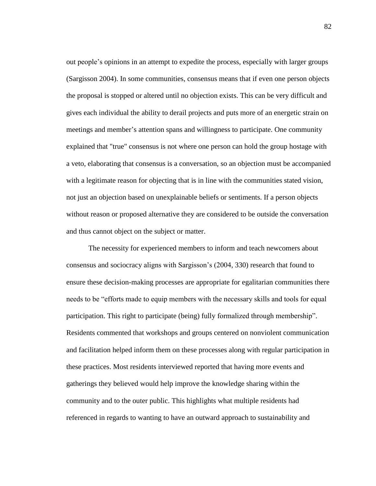out people's opinions in an attempt to expedite the process, especially with larger groups (Sargisson 2004). In some communities, consensus means that if even one person objects the proposal is stopped or altered until no objection exists. This can be very difficult and gives each individual the ability to derail projects and puts more of an energetic strain on meetings and member's attention spans and willingness to participate. One community explained that "true" consensus is not where one person can hold the group hostage with a veto, elaborating that consensus is a conversation, so an objection must be accompanied with a legitimate reason for objecting that is in line with the communities stated vision, not just an objection based on unexplainable beliefs or sentiments. If a person objects without reason or proposed alternative they are considered to be outside the conversation and thus cannot object on the subject or matter.

The necessity for experienced members to inform and teach newcomers about consensus and sociocracy aligns with Sargisson's (2004, 330) research that found to ensure these decision-making processes are appropriate for egalitarian communities there needs to be "efforts made to equip members with the necessary skills and tools for equal participation. This right to participate (being) fully formalized through membership". Residents commented that workshops and groups centered on nonviolent communication and facilitation helped inform them on these processes along with regular participation in these practices. Most residents interviewed reported that having more events and gatherings they believed would help improve the knowledge sharing within the community and to the outer public. This highlights what multiple residents had referenced in regards to wanting to have an outward approach to sustainability and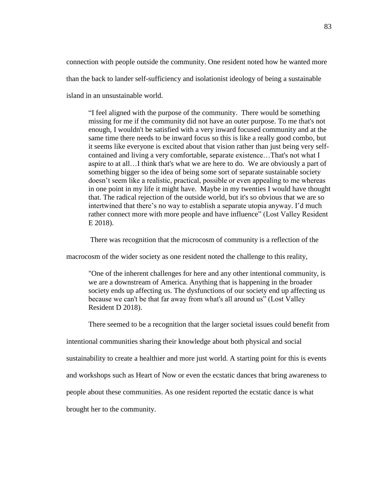connection with people outside the community. One resident noted how he wanted more than the back to lander self-sufficiency and isolationist ideology of being a sustainable island in an unsustainable world.

"I feel aligned with the purpose of the community. There would be something missing for me if the community did not have an outer purpose. To me that's not enough, I wouldn't be satisfied with a very inward focused community and at the same time there needs to be inward focus so this is like a really good combo, but it seems like everyone is excited about that vision rather than just being very selfcontained and living a very comfortable, separate existence…That's not what I aspire to at all…I think that's what we are here to do. We are obviously a part of something bigger so the idea of being some sort of separate sustainable society doesn't seem like a realistic, practical, possible or even appealing to me whereas in one point in my life it might have. Maybe in my twenties I would have thought that. The radical rejection of the outside world, but it's so obvious that we are so intertwined that there's no way to establish a separate utopia anyway. I'd much rather connect more with more people and have influence" (Lost Valley Resident E 2018).

There was recognition that the microcosm of community is a reflection of the

macrocosm of the wider society as one resident noted the challenge to this reality,

"One of the inherent challenges for here and any other intentional community, is we are a downstream of America. Anything that is happening in the broader society ends up affecting us. The dysfunctions of our society end up affecting us because we can't be that far away from what's all around us" (Lost Valley Resident D 2018).

There seemed to be a recognition that the larger societal issues could benefit from

intentional communities sharing their knowledge about both physical and social

sustainability to create a healthier and more just world. A starting point for this is events

and workshops such as Heart of Now or even the ecstatic dances that bring awareness to

people about these communities. As one resident reported the ecstatic dance is what

brought her to the community.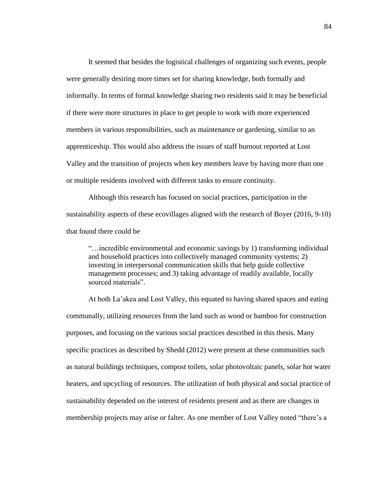It seemed that besides the logistical challenges of organizing such events, people were generally desiring more times set for sharing knowledge, both formally and informally. In terms of formal knowledge sharing two residents said it may be beneficial if there were more structures in place to get people to work with more experienced members in various responsibilities, such as maintenance or gardening, similar to an apprenticeship. This would also address the issues of staff burnout reported at Lost Valley and the transition of projects when key members leave by having more than one or multiple residents involved with different tasks to ensure continuity.

Although this research has focused on social practices, participation in the sustainability aspects of these ecovillages aligned with the research of Boyer (2016, 9-10) that found there could be

"…incredible environmental and economic savings by 1) transforming individual and household practices into collectively managed community systems; 2) investing in interpersonal communication skills that help guide collective management processes; and 3) taking advantage of readily available, locally sourced materials".

At both La'akea and Lost Valley, this equated to having shared spaces and eating communally, utilizing resources from the land such as wood or bamboo for construction purposes, and focusing on the various social practices described in this thesis. Many specific practices as described by Shedd (2012) were present at these communities such as natural buildings techniques, compost toilets, solar photovoltaic panels, solar hot water heaters, and upcycling of resources. The utilization of both physical and social practice of sustainability depended on the interest of residents present and as there are changes in membership projects may arise or falter. As one member of Lost Valley noted "there's a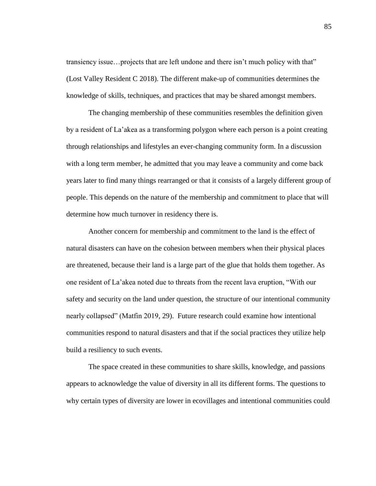transiency issue…projects that are left undone and there isn't much policy with that" (Lost Valley Resident C 2018). The different make-up of communities determines the knowledge of skills, techniques, and practices that may be shared amongst members.

The changing membership of these communities resembles the definition given by a resident of La'akea as a transforming polygon where each person is a point creating through relationships and lifestyles an ever-changing community form. In a discussion with a long term member, he admitted that you may leave a community and come back years later to find many things rearranged or that it consists of a largely different group of people. This depends on the nature of the membership and commitment to place that will determine how much turnover in residency there is.

Another concern for membership and commitment to the land is the effect of natural disasters can have on the cohesion between members when their physical places are threatened, because their land is a large part of the glue that holds them together. As one resident of La'akea noted due to threats from the recent lava eruption, "With our safety and security on the land under question, the structure of our intentional community nearly collapsed" (Matfin 2019, 29). Future research could examine how intentional communities respond to natural disasters and that if the social practices they utilize help build a resiliency to such events.

The space created in these communities to share skills, knowledge, and passions appears to acknowledge the value of diversity in all its different forms. The questions to why certain types of diversity are lower in ecovillages and intentional communities could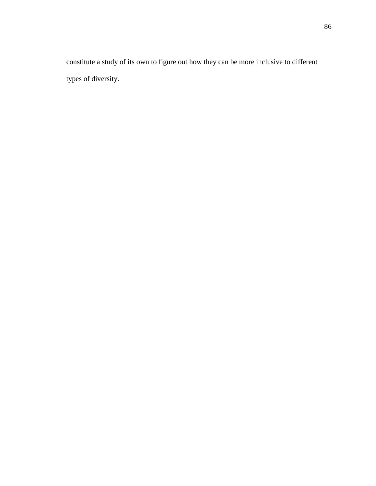constitute a study of its own to figure out how they can be more inclusive to different types of diversity.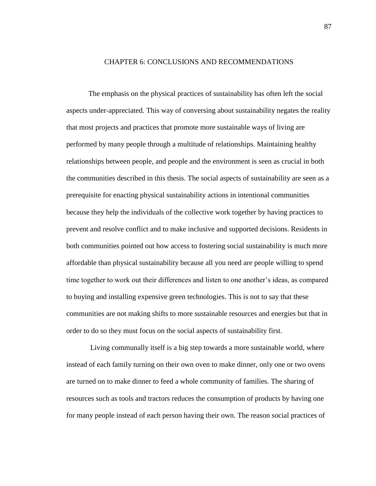### CHAPTER 6: CONCLUSIONS AND RECOMMENDATIONS

The emphasis on the physical practices of sustainability has often left the social aspects under-appreciated. This way of conversing about sustainability negates the reality that most projects and practices that promote more sustainable ways of living are performed by many people through a multitude of relationships. Maintaining healthy relationships between people, and people and the environment is seen as crucial in both the communities described in this thesis. The social aspects of sustainability are seen as a prerequisite for enacting physical sustainability actions in intentional communities because they help the individuals of the collective work together by having practices to prevent and resolve conflict and to make inclusive and supported decisions. Residents in both communities pointed out how access to fostering social sustainability is much more affordable than physical sustainability because all you need are people willing to spend time together to work out their differences and listen to one another's ideas, as compared to buying and installing expensive green technologies. This is not to say that these communities are not making shifts to more sustainable resources and energies but that in order to do so they must focus on the social aspects of sustainability first.

Living communally itself is a big step towards a more sustainable world, where instead of each family turning on their own oven to make dinner, only one or two ovens are turned on to make dinner to feed a whole community of families. The sharing of resources such as tools and tractors reduces the consumption of products by having one for many people instead of each person having their own. The reason social practices of

87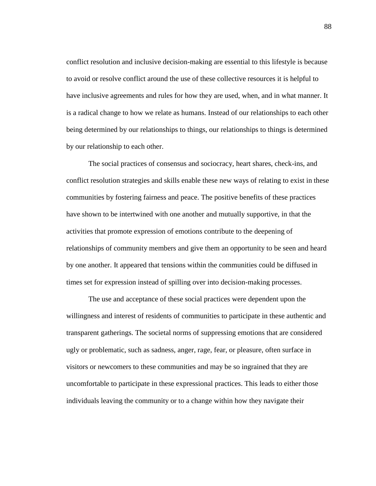conflict resolution and inclusive decision-making are essential to this lifestyle is because to avoid or resolve conflict around the use of these collective resources it is helpful to have inclusive agreements and rules for how they are used, when, and in what manner. It is a radical change to how we relate as humans. Instead of our relationships to each other being determined by our relationships to things, our relationships to things is determined by our relationship to each other.

The social practices of consensus and sociocracy, heart shares, check-ins, and conflict resolution strategies and skills enable these new ways of relating to exist in these communities by fostering fairness and peace. The positive benefits of these practices have shown to be intertwined with one another and mutually supportive, in that the activities that promote expression of emotions contribute to the deepening of relationships of community members and give them an opportunity to be seen and heard by one another. It appeared that tensions within the communities could be diffused in times set for expression instead of spilling over into decision-making processes.

The use and acceptance of these social practices were dependent upon the willingness and interest of residents of communities to participate in these authentic and transparent gatherings. The societal norms of suppressing emotions that are considered ugly or problematic, such as sadness, anger, rage, fear, or pleasure, often surface in visitors or newcomers to these communities and may be so ingrained that they are uncomfortable to participate in these expressional practices. This leads to either those individuals leaving the community or to a change within how they navigate their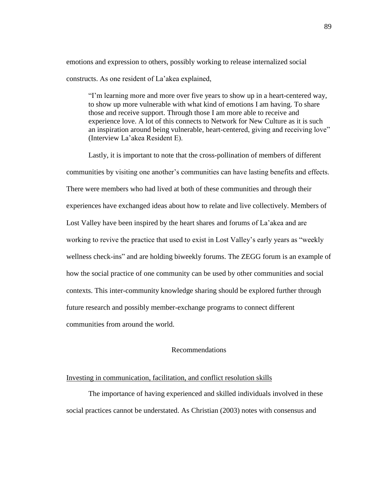emotions and expression to others, possibly working to release internalized social constructs. As one resident of La'akea explained,

"I'm learning more and more over five years to show up in a heart-centered way, to show up more vulnerable with what kind of emotions I am having. To share those and receive support. Through those I am more able to receive and experience love. A lot of this connects to Network for New Culture as it is such an inspiration around being vulnerable, heart-centered, giving and receiving love" (Interview La'akea Resident E).

Lastly, it is important to note that the cross-pollination of members of different communities by visiting one another's communities can have lasting benefits and effects. There were members who had lived at both of these communities and through their experiences have exchanged ideas about how to relate and live collectively. Members of Lost Valley have been inspired by the heart shares and forums of La'akea and are working to revive the practice that used to exist in Lost Valley's early years as "weekly wellness check-ins" and are holding biweekly forums. The ZEGG forum is an example of how the social practice of one community can be used by other communities and social contexts. This inter-community knowledge sharing should be explored further through future research and possibly member-exchange programs to connect different communities from around the world.

## Recommendations

### Investing in communication, facilitation, and conflict resolution skills

The importance of having experienced and skilled individuals involved in these social practices cannot be understated. As Christian (2003) notes with consensus and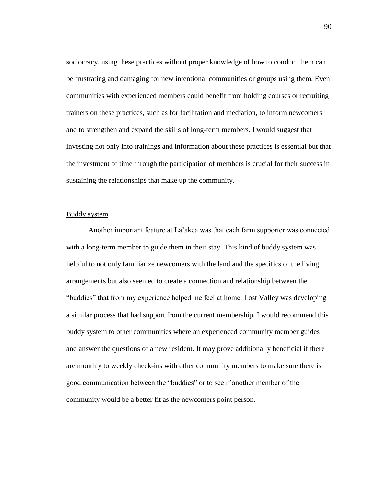sociocracy, using these practices without proper knowledge of how to conduct them can be frustrating and damaging for new intentional communities or groups using them. Even communities with experienced members could benefit from holding courses or recruiting trainers on these practices, such as for facilitation and mediation, to inform newcomers and to strengthen and expand the skills of long-term members. I would suggest that investing not only into trainings and information about these practices is essential but that the investment of time through the participation of members is crucial for their success in sustaining the relationships that make up the community.

## Buddy system

Another important feature at La'akea was that each farm supporter was connected with a long-term member to guide them in their stay. This kind of buddy system was helpful to not only familiarize newcomers with the land and the specifics of the living arrangements but also seemed to create a connection and relationship between the "buddies" that from my experience helped me feel at home. Lost Valley was developing a similar process that had support from the current membership. I would recommend this buddy system to other communities where an experienced community member guides and answer the questions of a new resident. It may prove additionally beneficial if there are monthly to weekly check-ins with other community members to make sure there is good communication between the "buddies" or to see if another member of the community would be a better fit as the newcomers point person.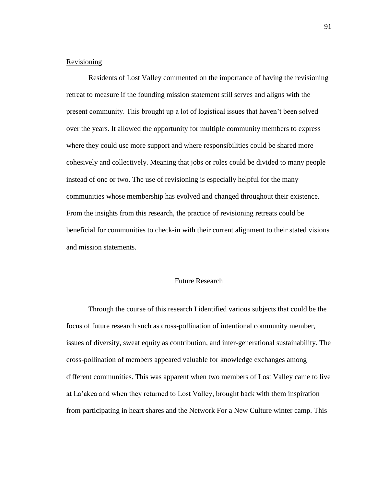# Revisioning

Residents of Lost Valley commented on the importance of having the revisioning retreat to measure if the founding mission statement still serves and aligns with the present community. This brought up a lot of logistical issues that haven't been solved over the years. It allowed the opportunity for multiple community members to express where they could use more support and where responsibilities could be shared more cohesively and collectively. Meaning that jobs or roles could be divided to many people instead of one or two. The use of revisioning is especially helpful for the many communities whose membership has evolved and changed throughout their existence. From the insights from this research, the practice of revisioning retreats could be beneficial for communities to check-in with their current alignment to their stated visions and mission statements.

# Future Research

Through the course of this research I identified various subjects that could be the focus of future research such as cross-pollination of intentional community member, issues of diversity, sweat equity as contribution, and inter-generational sustainability. The cross-pollination of members appeared valuable for knowledge exchanges among different communities. This was apparent when two members of Lost Valley came to live at La'akea and when they returned to Lost Valley, brought back with them inspiration from participating in heart shares and the Network For a New Culture winter camp. This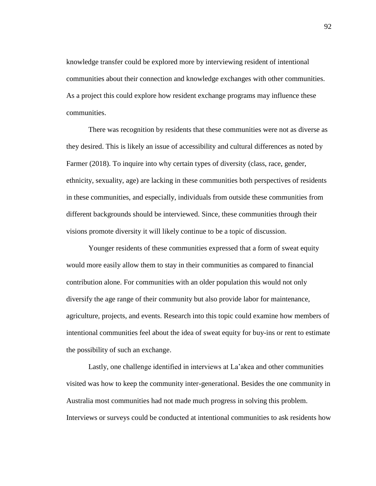knowledge transfer could be explored more by interviewing resident of intentional communities about their connection and knowledge exchanges with other communities. As a project this could explore how resident exchange programs may influence these communities.

There was recognition by residents that these communities were not as diverse as they desired. This is likely an issue of accessibility and cultural differences as noted by Farmer (2018). To inquire into why certain types of diversity (class, race, gender, ethnicity, sexuality, age) are lacking in these communities both perspectives of residents in these communities, and especially, individuals from outside these communities from different backgrounds should be interviewed. Since, these communities through their visions promote diversity it will likely continue to be a topic of discussion.

Younger residents of these communities expressed that a form of sweat equity would more easily allow them to stay in their communities as compared to financial contribution alone. For communities with an older population this would not only diversify the age range of their community but also provide labor for maintenance, agriculture, projects, and events. Research into this topic could examine how members of intentional communities feel about the idea of sweat equity for buy-ins or rent to estimate the possibility of such an exchange.

Lastly, one challenge identified in interviews at La'akea and other communities visited was how to keep the community inter-generational. Besides the one community in Australia most communities had not made much progress in solving this problem. Interviews or surveys could be conducted at intentional communities to ask residents how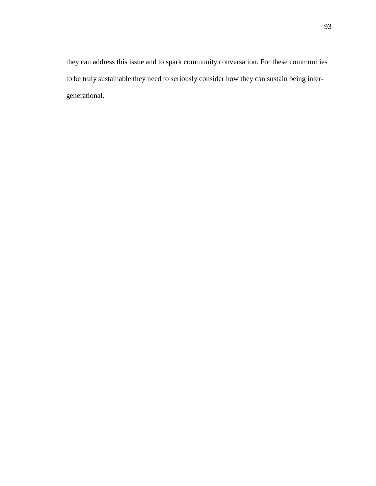they can address this issue and to spark community conversation. For these communities to be truly sustainable they need to seriously consider how they can sustain being intergenerational.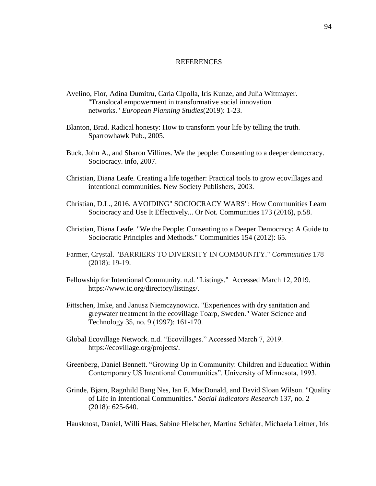### **REFERENCES**

- Avelino, Flor, Adina Dumitru, Carla Cipolla, Iris Kunze, and Julia Wittmayer. "Translocal empowerment in transformative social innovation networks." *European Planning Studies*(2019): 1-23.
- Blanton, Brad. Radical honesty: How to transform your life by telling the truth. Sparrowhawk Pub., 2005.
- Buck, John A., and Sharon Villines. We the people: Consenting to a deeper democracy. Sociocracy. info, 2007.
- Christian, Diana Leafe. Creating a life together: Practical tools to grow ecovillages and intentional communities. New Society Publishers, 2003.
- Christian, D.L., 2016. AVOIDING" SOCIOCRACY WARS": How Communities Learn Sociocracy and Use It Effectively... Or Not. Communities 173 (2016), p.58.
- Christian, Diana Leafe. "We the People: Consenting to a Deeper Democracy: A Guide to Sociocratic Principles and Methods." Communities 154 (2012): 65.
- Farmer, Crystal. "BARRIERS TO DIVERSITY IN COMMUNITY." *Communities* 178 (2018): 19-19.
- Fellowship for Intentional Community. n.d. "Listings." Accessed March 12, 2019. https://www.ic.org/directory/listings/.
- Fittschen, Imke, and Janusz Niemczynowicz. "Experiences with dry sanitation and greywater treatment in the ecovillage Toarp, Sweden." Water Science and Technology 35, no. 9 (1997): 161-170.
- Global Ecovillage Network. n.d. "Ecovillages." Accessed March 7, 2019. https://ecovillage.org/projects/.
- Greenberg, Daniel Bennett. "Growing Up in Community: Children and Education Within Contemporary US Intentional Communities". University of Minnesota, 1993.
- Grinde, Bjørn, Ragnhild Bang Nes, Ian F. MacDonald, and David Sloan Wilson. "Quality of Life in Intentional Communities." *Social Indicators Research* 137, no. 2 (2018): 625-640.

Hausknost, Daniel, Willi Haas, Sabine Hielscher, Martina Schäfer, Michaela Leitner, Iris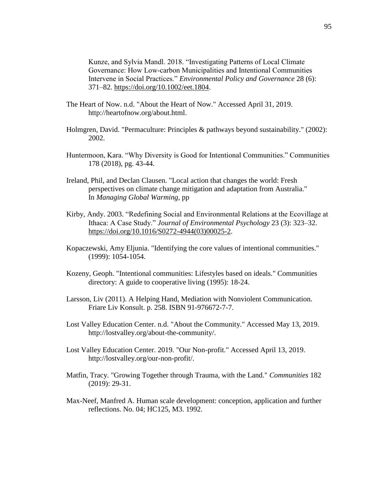Kunze, and Sylvia Mandl. 2018. "Investigating Patterns of Local Climate Governance: How Low‐carbon Municipalities and Intentional Communities Intervene in Social Practices." *Environmental Policy and Governance* 28 (6): 371–82. [https://doi.org/10.1002/eet.1804.](https://doi.org/10.1002/eet.1804)

- The Heart of Now. n.d. "About the Heart of Now." Accessed April 31, 2019. http://heartofnow.org/about.html.
- Holmgren, David. "Permaculture: Principles & pathways beyond sustainability." (2002): 2002.
- Huntermoon, Kara. "Why Diversity is Good for Intentional Communities." Communities 178 (2018), pg. 43-44.
- Ireland, Phil, and Declan Clausen. "Local action that changes the world: Fresh perspectives on climate change mitigation and adaptation from Australia." In *Managing Global Warming*, pp
- Kirby, Andy. 2003. "Redefining Social and Environmental Relations at the Ecovillage at Ithaca: A Case Study." *Journal of Environmental Psychology* 23 (3): 323–32. [https://doi.org/10.1016/S0272-4944\(03\)00025-2.](https://doi.org/10.1016/S0272-4944(03)00025-2)
- Kopaczewski, Amy Eljunia. "Identifying the core values of intentional communities." (1999): 1054-1054.
- Kozeny, Geoph. "Intentional communities: Lifestyles based on ideals." Communities directory: A guide to cooperative living (1995): 18-24.
- Larsson, Liv (2011). A Helping Hand, Mediation with Nonviolent Communication. Friare Liv Konsult. p. 258. ISBN 91-976672-7-7.
- Lost Valley Education Center. n.d. "About the Community." Accessed May 13, 2019. http://lostvalley.org/about-the-community/.
- Lost Valley Education Center. 2019. "Our Non-profit." Accessed April 13, 2019. http://lostvalley.org/our-non-profit/.
- Matfin, Tracy. "Growing Together through Trauma, with the Land." *Communities* 182 (2019): 29-31.
- Max-Neef, Manfred A. Human scale development: conception, application and further reflections. No. 04; HC125, M3. 1992.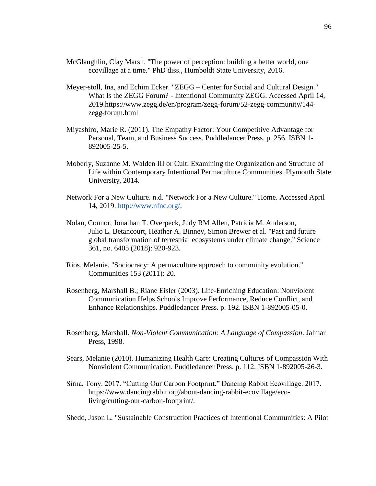- McGlaughlin, Clay Marsh. "The power of perception: building a better world, one ecovillage at a time." PhD diss., Humboldt State University, 2016.
- Meyer-stoll, Ina, and Echim Ecker. "ZEGG Center for Social and Cultural Design." What Is the ZEGG Forum? - Intentional Community ZEGG. Accessed April 14, 2019.https://www.zegg.de/en/program/zegg-forum/52-zegg-community/144 zegg-forum.html
- Miyashiro, Marie R. (2011). The Empathy Factor: Your Competitive Advantage for Personal, Team, and Business Success. Puddledancer Press. p. 256. ISBN 1- 892005-25-5.
- Moberly, Suzanne M. Walden III or Cult: Examining the Organization and Structure of Life within Contemporary Intentional Permaculture Communities. Plymouth State University, 2014.
- Network For a New Culture. n.d. "Network For a New Culture." Home. Accessed April 14, 2019. [http://www.nfnc.org/.](http://www.nfnc.org/)
- Nolan, Connor, Jonathan T. Overpeck, Judy RM Allen, Patricia M. Anderson, Julio L. Betancourt, Heather A. Binney, Simon Brewer et al. "Past and future global transformation of terrestrial ecosystems under climate change." Science 361, no. 6405 (2018): 920-923.
- Rios, Melanie. "Sociocracy: A permaculture approach to community evolution." Communities 153 (2011): 20.
- Rosenberg, Marshall B.; Riane Eisler (2003). Life-Enriching Education: Nonviolent Communication Helps Schools Improve Performance, Reduce Conflict, and Enhance Relationships. Puddledancer Press. p. 192. ISBN 1-892005-05-0.
- Rosenberg, Marshall. *Non-Violent Communication: A Language of Compassion*. Jalmar Press, 1998.
- Sears, Melanie (2010). Humanizing Health Care: Creating Cultures of Compassion With Nonviolent Communication. Puddledancer Press. p. 112. ISBN 1-892005-26-3.
- Sirna, Tony. 2017. "Cutting Our Carbon Footprint." Dancing Rabbit Ecovillage. 2017. https://www.dancingrabbit.org/about-dancing-rabbit-ecovillage/ecoliving/cutting-our-carbon-footprint/.
- Shedd, Jason L. "Sustainable Construction Practices of Intentional Communities: A Pilot